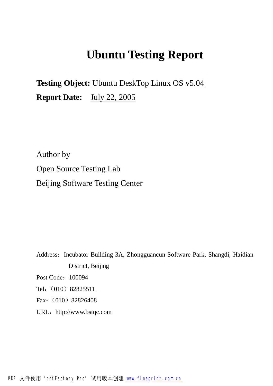# **Ubuntu Testing Report**

**Testing Object:** Ubuntu DeskTop Linux OS v5.04 **Report Date:** July 22, 2005

Author by Open Source Testing Lab Beijing Software Testing Center

Address: Incubator Building 3A, Zhongguancun Software Park, Shangdi, Haidian District, Beijing

Post Code: 100094

Tel: (010) 82825511

Fax: (010) 82826408

URL: <http://www.bstqc.com>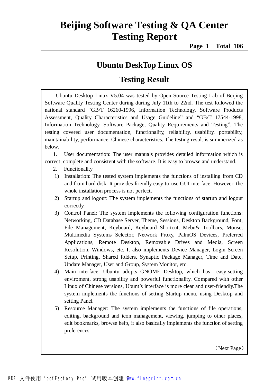**Page 1 Total 106**

#### **Ubuntu DeskTop Linux OS**

#### **Testing Result**

Ubuntu Desktop Linux V5.04 was tested by Open Source Testing Lab of Beijing Software Quality Testing Center during during July 11th to 22nd. The test followed the national standard "GB/T 16260-1996, Information Technology, Software Products Assessment, Quality Characteristics and Usage Guideline" and "GB/T 17544-1998, Information Technology, Software Package, Quality Requirements and Testing". The testing covered user documentation, functionality, reliability, usability, portability, maintainability, performance, Chinese characteristics. The testing result is summerized as below.

1. User documentation: The user manuals provides detailed information which is correct, complete and consistent with the software. It is easy to browse and understand.

- 2. Functionality
- 1) Installation: The tested system implements the functions of installing from CD and from hard disk. It provides friendly easy-to-use GUI interface. However, the whole installation process is not perfect.
- 2) Startup and logout: The system implements the functions of startup and logout correctly.
- 3) Control Panel: The system implements the following configuration functions: Networking, CD Database Server, Theme, Sessions, Desktop Background, Font, File Management, Keyboard, Keyboard Shortcut, Mebu& Toolbars, Mouse, Multimedia Systems Selector, Network Proxy, PalmOS Devices, Preferred Applications, Remote Desktop, Removable Drives and Media, Screen Resolution, Windows, etc. It also implements Device Manager, Login Screen Setup, Printing, Shared folders, Synaptic Package Manager, Time and Date, Update Manager, User and Group, System Monitor, etc.
- 4) Main interface: Ubuntu adopts GNOME Desktop, which has easy-setting enviroment, strong usability and powerful functionality. Compared with other Linux of Chinese versions, Ubunt's interface is more clear and user-friendly.The system implements the functions of setting Startup menu, using Desktop and setting Panel.
- 5) Resource Manager: The system implements the functions of file operations, editing, background and icon management, viewing, jumping to other places, edit bookmarks, browse help, it also basically implements the function of setting preferences.

(Next Page)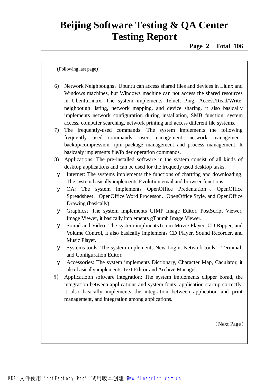(Following last page)

- 6) Network Neighboughs:Ubuntu can access shared files and devices in Liunx and Windows machines, but Windows machine can not access the shared resources in UbentuLinux. The system implements Telnet, Ping, Access/Read/Write, neighbough listing, network mapping, and device sharing, it also basically implements network configuration during installation, SMB function, system access, computer searching, network printing and access different file systems.
- 7) The frequently-used commands: The system implements the following frequently used commands: user management, network management, backup/compression, rpm package management and process management. It basicaaly implements file/folder operation commands.
- 8) Applications: The pre-installed software in the system consist of all kinds of desktop applications and can be used for the frequetly used desktop tasks.
- Ø Internet: The systems implements the functions of chattting and downloading. The system basically implements Evolution email and browser functions.
- Ø OA: The system implements OpenOffice Predentation 、 OpenOffice Spreadsheet、OpenOffice Word Processor、OpenOffice Style, and OpenOffice Drawing (basically).
- Ø Graphics:The system implements GIMP Image Editor, PostScript Viewer, Image Viewer, it basically implements gThumb Image Viewer.
- Ø Sound and Video: The system implmentsTotem Movie Player, CD Ripper, and Volume Control, it also basically implements CD Player, Sound Recorder, and Music Player.
- Ø Systems tools: The system implements New Login, Network tools, , Terminal, and Configuration Editor.
- Ø Accessories: The system implements Dictionary, Character Map, Caculator, it also basically implements Text Editor and Archive Manager.
- 9) Applicatioon software integration: The system implements clipper borad, the integration between applications and system fonts, application startup correctly, it also basically implements the integration between application and print management, and integration among applications.

(Next Page)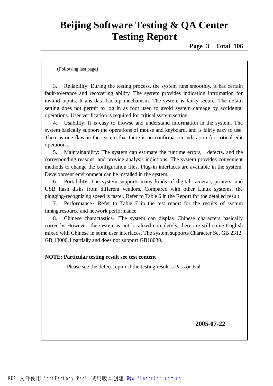(Following last page)

3. Reliability: During the testing process, the system runs smoothly. It has certain fault-tolerance and recovering ability. The system provides indication infromation for invalid inputs. It ahs data backup mechanism. The system is fairly secure. The defaul setting does not permit to log in as root user, to avoid system damage by accidental operations. User verification is required for critical system setting.

4. Usability: It is easy to browse and understand information in the system. The system basically support the operations of mouse and keyboard, and is fairly easy to use. There is one flaw in the system that there is no confirmation indication for critical edit operations.

5. Maintainability: The system can estimate the runtime errors, defects, and the corresponding reasons, and provide analysis indictions. The system provides convenient methods to change the configuration files. Plug-in interfaces are available in the system. Development environment can be installed in the system.

6. Portability: The system supports many kinds of digital cameras, printers, and USB flash disks from different vendors. Compared with other Linux systems, the plugging-recognizing speed is faster. Refer to Table 6 in the Report for the detailed result.

7. Performance: Refer to Table 7 in the test report for the results of system timing,resource and network performance.

8. Chinese charactastics: The system can display Chinese characters basically correctly. However, the system is not localized completely, there are still some English mixed with Chinese in some user interfaces. The system supports Character Set GB 2312, GB 13000.1 partially and does not support GB18030.

#### **NOTE: Particular testing result see test content**

Please see the defect report if the testing result is Pass or Fail

**2005-07-22**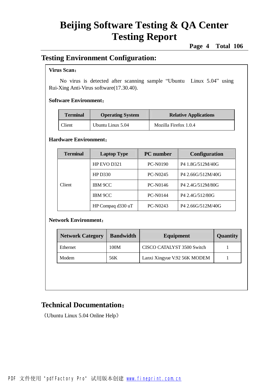**Page 4 Total 106**

#### **Testing Environment Configuration:**

#### **Virus Scan**:

No virus is detected after scanning sample "Ubuntu Linux 5.04" using Rui-Xing Anti-Virus software(17.30.40).

#### **Software Environment**:

| <b>Operating System</b><br><b>Terminal</b> |                   | <b>Relative Applications</b> |  |
|--------------------------------------------|-------------------|------------------------------|--|
| Client                                     | Ubuntu Linux 5.04 | Mozilla Firefox 1.0.4        |  |

#### **Hardware Environment**:

| <b>Terminal</b> | <b>Laptop Type</b> | <b>PC</b> number | <b>Configuration</b>         |
|-----------------|--------------------|------------------|------------------------------|
| <b>Client</b>   | HP EVO D321        | <b>PC-N0190</b>  | P4 1.8G/512M/40G             |
|                 | <b>HP D330</b>     | <b>PC-N0245</b>  | P4 2.66G/512M/40G            |
|                 | <b>IBM 9CC</b>     | PC-N0146         | P <sub>4</sub> 2.4G/512M/80G |
|                 | <b>IBM 9CC</b>     | <b>PC-N0144</b>  | P <sub>4</sub> 2.4G/512/80G  |
|                 | HP Compaq d330 uT  | PC-N0243         | P4 2.66G/512M/40G            |

#### **Network Environment**:

| <b>Network Category</b> | <b>Bandwidth</b> | Equipment                    | <b>Quantity</b> |
|-------------------------|------------------|------------------------------|-----------------|
| <b>Ethernet</b>         | 100M             | CISCO CATALYST 3500 Switch   |                 |
| Modem                   | 56K              | Lanxi Xingyue V.92 56K MODEM |                 |

#### **Technical Documentation**:

《Ubuntu Linux 5.04 Online Help》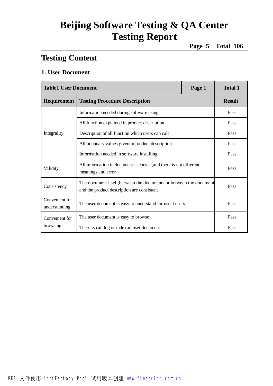**Page 5 Total 106**

#### **Testing Content**

#### **1. User Document**

| <b>Table1 User Document</b>     |                                                                                                                  | Page 1 | <b>Total 1</b> |
|---------------------------------|------------------------------------------------------------------------------------------------------------------|--------|----------------|
| Requirement                     | <b>Testing Procedure Description</b>                                                                             |        |                |
|                                 | Information needed during software using                                                                         |        | Pass           |
|                                 | All function explained in product description                                                                    |        | Pass           |
| Integrality                     | Description of all function which users can call                                                                 |        | Pass           |
|                                 | All boundary values given in product description                                                                 | Pass   |                |
|                                 | Information needed in software installing                                                                        | Pass   |                |
| Validity                        | All information in document is correct, and there is not different<br>meanings and error                         | Pass   |                |
| Consistency                     | The document itself, between the documents or between the document<br>and the product description are consistent | Pass   |                |
| Convenient for<br>understanding | The user document is easy to understand for usual users                                                          | Pass   |                |
| Convenient for                  | The user document is easy to browse                                                                              |        | Pass           |
| browsing                        | There is catalog or index in user document                                                                       | Pass   |                |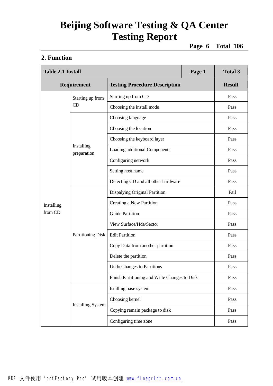**Page 6 Total 106**

#### **2. Function**

|            | <b>Table 2.1 Install</b>  |                                               | Page 1 | <b>Total 3</b> |
|------------|---------------------------|-----------------------------------------------|--------|----------------|
|            | Requirement               | <b>Testing Procedure Description</b>          |        | <b>Result</b>  |
|            | Starting up from          | Starting up from CD                           |        | Pass           |
|            | CD                        | Choosing the install mode                     |        | Pass           |
|            |                           | Choosing language                             |        | Pass           |
|            |                           | Choosing the location                         |        | Pass           |
|            |                           | Choosing the keyboard layer                   |        | Pass           |
|            | Installing<br>preparation | Loading additional Components                 |        | Pass           |
|            |                           | Configuring network                           |        | Pass           |
|            |                           | Setting host name                             |        | Pass           |
|            |                           | Detecting CD and all other hardware           |        | Pass           |
|            |                           | Dispalying Original Partition                 |        | Fail           |
| Installing |                           | Creating a New Partition                      |        | Pass           |
| from CD    |                           | <b>Guide Partition</b>                        |        | Pass           |
|            |                           | View Surface/Hda/Sector                       |        | Pass           |
|            | <b>Partitioning Disk</b>  | <b>Edit Partition</b>                         |        | Pass           |
|            |                           | Copy Data from another partition              |        | Pass           |
|            |                           | Delete the partition                          |        | Pass           |
|            |                           | <b>Undo Changes to Partitions</b>             |        | Pass           |
|            |                           | Finish Partitioning and Write Changes to Disk |        | Pass           |
|            |                           | Istalling base system                         |        | Pass           |
|            |                           | Choosing kernel                               |        | Pass           |
|            | <b>Installing System</b>  | Copying remain package to disk                |        | Pass           |
|            |                           | Configuring time zone                         |        | Pass           |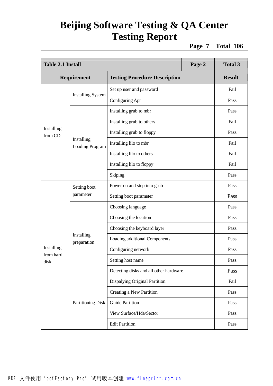**Page 7 Total 106**

| <b>Table 2.1 Install</b> |                               | Page 2                                 | <b>Total 3</b> |               |
|--------------------------|-------------------------------|----------------------------------------|----------------|---------------|
|                          | <b>Requirement</b>            | <b>Testing Procedure Description</b>   |                | <b>Result</b> |
|                          |                               | Set up user and password               |                | Fail          |
|                          | <b>Installing System</b>      | Configuring Apt                        |                | Pass          |
|                          |                               | Installing grub to mbr                 |                | Pass          |
|                          |                               | Installing grub to others              |                | Fail          |
| Installing<br>from CD    |                               | Installing grub to floppy              |                | Pass          |
|                          | Installing<br>Loading Program | Installing lilo to mbr                 |                | Fail          |
|                          |                               | Installing lilo to others              |                | Fail          |
|                          |                               | Installing lilo to floppy              |                | Fail          |
|                          |                               | Skiping                                |                | Pass          |
|                          | Setting boot<br>parameter     | Power on and step into grub            |                | Pass          |
|                          |                               | Setting boot parameter                 |                | Pass          |
|                          |                               | Choosing language                      |                | Pass          |
|                          |                               | Choosing the location                  |                | Pass          |
|                          |                               | Choosing the keyboard layer            |                | Pass          |
|                          | Installing<br>preparation     | Loading additional Components          |                | Pass          |
| Installing               |                               | Configuring network                    |                | Pass          |
| from hard<br>disk        |                               | Setting host name                      |                | Pass          |
|                          |                               | Detecting disks and all other hardware |                | Pass          |
|                          |                               | Dispalying Original Partition          |                | Fail          |
|                          |                               | Creating a New Partition               |                | Pass          |
|                          | <b>Partitioning Disk</b>      | <b>Guide Partition</b>                 |                | Pass          |
|                          |                               | View Surface/Hda/Sector                |                | Pass          |
|                          |                               | <b>Edit Partition</b>                  |                | Pass          |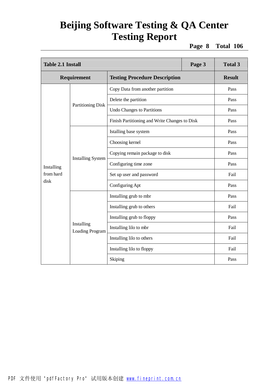**Page 8 Total 106**

| <b>Table 2.1 Install</b> |                                      | Page 3                                        | <b>Total 3</b> |               |
|--------------------------|--------------------------------------|-----------------------------------------------|----------------|---------------|
| Requirement              |                                      | <b>Testing Procedure Description</b>          |                | <b>Result</b> |
|                          |                                      | Copy Data from another partition              |                | Pass          |
|                          |                                      | Delete the partition                          |                | Pass          |
|                          | <b>Partitioning Disk</b>             | <b>Undo Changes to Partitions</b>             |                | Pass          |
|                          |                                      | Finish Partitioning and Write Changes to Disk |                | Pass          |
|                          |                                      | Istalling base system                         |                | Pass          |
|                          | <b>Installing System</b>             | Choosing kernel                               |                | Pass          |
|                          |                                      | Copying remain package to disk                |                | Pass          |
| Installing               |                                      | Configuring time zone                         |                | Pass          |
| from hard                |                                      | Set up user and password                      |                | Fail          |
| disk                     |                                      | Configuring Apt                               |                | Pass          |
|                          |                                      | Installing grub to mbr                        |                | Pass          |
|                          |                                      | Installing grub to others                     |                | Fail          |
|                          |                                      | Installing grub to floppy                     |                | Pass          |
|                          | Installing<br><b>Loading Program</b> | Installing lilo to mbr                        |                | Fail          |
|                          |                                      | Installing lilo to others                     |                | Fail          |
|                          |                                      | Installing lilo to floppy                     |                | Fail          |
|                          |                                      | Skiping                                       |                | Pass          |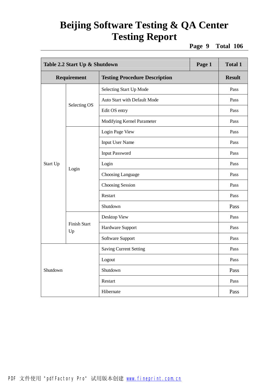**Page 9 Total 106**

|          | Table 2.2 Start Up & Shutdown<br>Page 1 |                                      |  | <b>Total 1</b> |
|----------|-----------------------------------------|--------------------------------------|--|----------------|
|          | Requirement                             | <b>Testing Procedure Description</b> |  | <b>Result</b>  |
|          |                                         | Selecting Start Up Mode              |  | Pass           |
|          | Selecting OS                            | Auto Start with Default Mode         |  | Pass           |
|          |                                         | Edit OS entry                        |  | Pass           |
|          |                                         | Modifying Kernel Parameter           |  | Pass           |
| Start Up |                                         | Login Page View                      |  | Pass           |
|          |                                         | <b>Input User Name</b>               |  | Pass           |
|          | Login                                   | <b>Input Password</b>                |  | Pass           |
|          |                                         | Login                                |  | Pass           |
|          |                                         | Choosing Language                    |  | Pass           |
|          |                                         | Choosing Session                     |  | Pass           |
|          |                                         | Restart                              |  | Pass           |
|          |                                         | Shutdown                             |  | Pass           |
|          |                                         | Desktop View                         |  | Pass           |
|          | <b>Finish Start</b><br>Up               | Hardware Support                     |  | Pass           |
|          |                                         | Software Support                     |  | Pass           |
|          |                                         | <b>Saving Current Setting</b>        |  | Pass           |
|          |                                         | Logout                               |  | Pass           |
| Shutdown |                                         | Shutdown                             |  | Pass           |
|          |                                         | Restart                              |  | Pass           |
|          |                                         | Hibernate                            |  | Pass           |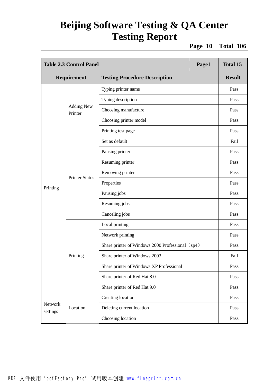**Page 10 Total 106**

|                     | <b>Table 2.3 Control Panel</b> |                                                  | Page1 | <b>Total 15</b> |
|---------------------|--------------------------------|--------------------------------------------------|-------|-----------------|
| Requirement         |                                | <b>Testing Procedure Description</b>             |       | <b>Result</b>   |
|                     |                                | Typing printer name                              |       | Pass            |
|                     |                                | Typing description                               |       | Pass            |
|                     | <b>Adding New</b><br>Printer   | Choosing manufacture                             |       | Pass            |
|                     |                                | Choosing printer model                           |       | Pass            |
|                     |                                | Printing test page                               |       | Pass            |
|                     |                                | Set as default                                   |       | Fail            |
|                     |                                | Pausing printer                                  |       | Pass            |
|                     | <b>Printer Status</b>          | Resuming printer                                 |       | Pass            |
|                     |                                | Removing printer                                 |       | Pass            |
|                     |                                | Properties                                       |       | Pass            |
| Printing            |                                | Pausing jobs                                     |       | Pass            |
|                     |                                | Resuming jobs                                    |       | Pass            |
|                     |                                | Canceling jobs                                   |       | Pass            |
|                     |                                | Local printing                                   |       | Pass            |
|                     |                                | Network printing                                 |       | Pass            |
|                     |                                | Share printer of Windows 2000 Professional (sp4) |       | Pass            |
|                     | Printing                       | Share printer of Windows 2003                    |       | Fail            |
|                     |                                | Share printer of Windows XP Professional         |       | Pass            |
|                     |                                | Share printer of Red Hat 8.0                     |       | Pass            |
|                     |                                | Share printer of Red Hat 9.0                     |       | Pass            |
|                     |                                | Creating location                                |       | Pass            |
| Network<br>settings | Location                       | Deleting current location                        |       | Pass            |
|                     |                                | Choosing location                                |       | Pass            |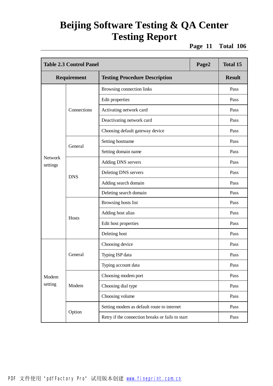**Page 11 Total 106**

|                     | <b>Table 2.3 Control Panel</b> |                                                  | Page2 | <b>Total 15</b> |
|---------------------|--------------------------------|--------------------------------------------------|-------|-----------------|
|                     | Requirement                    | <b>Testing Procedure Description</b>             |       | <b>Result</b>   |
|                     |                                | Browsing connection links                        |       | Pass            |
|                     |                                | Edit properties                                  |       | Pass            |
|                     | Connections                    | Activating network card                          |       | Pass            |
|                     |                                | Deactivating network card                        |       | Pass            |
|                     |                                | Choosing default gateway device                  |       | Pass            |
|                     |                                | Setting hostname                                 |       | Pass            |
|                     | General                        | Setting domain name                              |       | Pass            |
| Network<br>settings | <b>DNS</b>                     | Adding DNS servers                               |       | Pass            |
|                     |                                | Deleting DNS servers                             |       | Pass            |
|                     |                                | Adding search domain                             |       | Pass            |
|                     |                                | Deleting search domain                           |       | Pass            |
|                     | Hosts                          | Browsing hosts list                              |       | Pass            |
|                     |                                | Adding host alias                                |       | Pass            |
|                     |                                | Edit host properties                             |       | Pass            |
|                     |                                | Deleting host                                    |       | Pass            |
|                     |                                | Choosing device                                  |       | Pass            |
|                     | General                        | Typing ISP data                                  |       | Pass            |
|                     |                                | Typing account data                              |       | Pass            |
| Modem               |                                | Choosing modem port                              |       | Pass            |
| setting             | Modem                          | Choosing dial type                               |       | Pass            |
|                     |                                | Choosing volume                                  |       | Pass            |
|                     |                                | Setting modem as default route to internet       |       | Pass            |
|                     | Option                         | Retry if the connection breaks or fails to start |       | Pass            |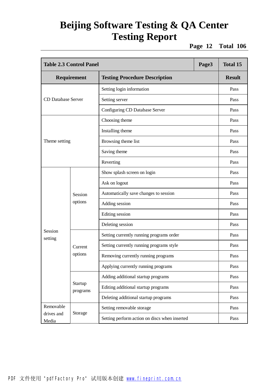**Page 12 Total 106**

|                                | <b>Table 2.3 Control Panel</b><br>Page3 |                                               |      | <b>Total 15</b> |
|--------------------------------|-----------------------------------------|-----------------------------------------------|------|-----------------|
| Requirement                    |                                         | <b>Testing Procedure Description</b>          |      | <b>Result</b>   |
|                                |                                         | Setting login information                     |      | Pass            |
| <b>CD Database Server</b>      |                                         | Setting server                                |      | Pass            |
|                                |                                         | Configuring CD Database Server                |      | Pass            |
|                                |                                         | Choosing theme                                |      | Pass            |
|                                |                                         | Installing theme                              |      | Pass            |
| Theme setting                  |                                         | Browsing theme list                           |      | Pass            |
|                                |                                         | Saving theme                                  |      | Pass            |
|                                |                                         | Reverting                                     |      | Pass            |
|                                | Session<br>options                      | Show splash screen on login                   |      | Pass            |
|                                |                                         | Ask on logout                                 |      | Pass            |
|                                |                                         | Automatically save changes to session         |      | Pass            |
|                                |                                         | Adding session                                |      | Pass            |
|                                |                                         | Editing session                               |      | Pass            |
|                                |                                         | Deleting session                              |      | Pass            |
| Session<br>setting             |                                         | Setting currently running programs order      |      | Pass            |
|                                | Current                                 | Setting currently running programs style      |      | Pass            |
|                                | options                                 | Removing currently running programs           |      | Pass            |
|                                |                                         | Applying currently running programs           |      | Pass            |
|                                |                                         | Adding additional startup programs            |      | Pass            |
|                                | Startup<br>programs                     | Editing additional startup programs           |      | Pass            |
|                                | Deleting additional startup programs    |                                               | Pass |                 |
| Removable                      |                                         | Setting removable storage                     |      | Pass            |
| Storage<br>drives and<br>Media |                                         | Setting perform action on discs when inserted |      | Pass            |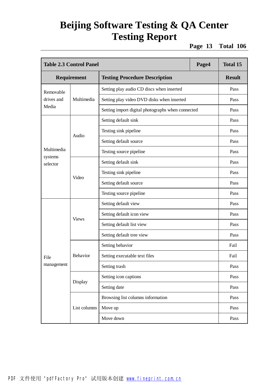**Page 13 Total 106**

|                     | <b>Table 2.3 Control Panel</b><br>Page4 |                                                   |  | <b>Total 15</b> |
|---------------------|-----------------------------------------|---------------------------------------------------|--|-----------------|
|                     | Requirement                             | <b>Testing Procedure Description</b>              |  | <b>Result</b>   |
| Removable           |                                         | Setting play audio CD discs when inserted         |  | Pass            |
| drives and          | Multimedia                              | Setting play video DVD disks when inserted        |  | Pass            |
| Media               |                                         | Setting import digital photographs when connected |  | Pass            |
|                     |                                         | Setting default sink                              |  | Pass            |
|                     | Audio                                   | Testing sink pipeline                             |  | Pass            |
|                     |                                         | Setting default source                            |  | Pass            |
| Multimedia          |                                         | Testing source pipeline                           |  | Pass            |
| systems<br>selector | Video                                   | Setting default sink                              |  | Pass            |
|                     |                                         | Testing sink pipeline                             |  | Pass            |
|                     |                                         | Setting default source                            |  | Pass            |
|                     |                                         | Testing source pipeline                           |  | Pass            |
|                     | <b>Views</b>                            | Setting default view                              |  | Pass            |
|                     |                                         | Setting default icon view                         |  | Pass            |
|                     |                                         | Setting default list view                         |  | Pass            |
|                     |                                         | Setting default tree view                         |  | Pass            |
|                     |                                         | Setting behavior                                  |  | Fail            |
| File                | <b>Behavior</b>                         | Setting executable text files                     |  | Fail            |
| management          |                                         | Setting trash                                     |  | Pass            |
|                     |                                         | Setting icon captions                             |  | Pass            |
|                     | Display                                 | Setting date                                      |  | Pass            |
|                     |                                         | Browsing list columns information                 |  | Pass            |
|                     | List columns                            | Move up                                           |  | Pass            |
|                     |                                         | Move down                                         |  | Pass            |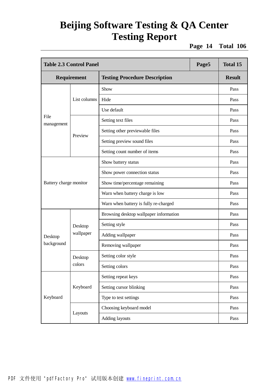**Page 14 Total 106**

| <b>Table 2.3 Control Panel</b><br>Page5 |              |                                        | <b>Total 15</b> |               |
|-----------------------------------------|--------------|----------------------------------------|-----------------|---------------|
| <b>Requirement</b>                      |              | <b>Testing Procedure Description</b>   |                 | <b>Result</b> |
|                                         |              | Show                                   |                 | Pass          |
|                                         | List columns | Hide                                   |                 | Pass          |
|                                         |              | Use default                            |                 | Pass          |
| File<br>management                      |              | Setting text files                     |                 | Pass          |
|                                         |              | Setting other previewable files        |                 | Pass          |
|                                         | Preview      | Setting preview sound files            |                 | Pass          |
|                                         |              | Setting count number of items          |                 | Pass          |
|                                         |              | Show battery status                    |                 | Pass          |
|                                         |              | Show power connection status           |                 | Pass          |
| Battery charge monitor                  |              | Show time/percentage remaining         |                 | Pass          |
|                                         |              | Warn when battery charge is low        |                 | Pass          |
|                                         |              | Warn when battery is fully re-charged  |                 | Pass          |
|                                         |              | Browsing desktop wallpaper information |                 | Pass          |
|                                         | Desktop      | Setting style                          |                 | Pass          |
| Desktop                                 | wallpaper    | Adding wallpaper                       |                 | Pass          |
| background                              |              | Removing wallpaper                     |                 | Pass          |
|                                         | Desktop      | Setting color style                    |                 | Pass          |
|                                         | colors       | Setting colors                         |                 | Pass          |
|                                         |              | Setting repeat keys                    |                 | Pass          |
|                                         | Keyboard     | Setting cursor blinking                |                 | Pass          |
| Keyboard                                |              | Type to test settings                  |                 | Pass          |
|                                         |              | Choosing keyboard model                |                 | Pass          |
|                                         | Layouts      | Adding layouts                         |                 | Pass          |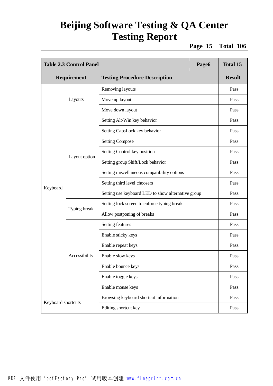**Page 15 Total 106**

|                    | <b>Table 2.3 Control Panel</b><br>Page6 |                                                    |  | <b>Total 15</b> |
|--------------------|-----------------------------------------|----------------------------------------------------|--|-----------------|
| Requirement        |                                         | <b>Testing Procedure Description</b>               |  | <b>Result</b>   |
|                    |                                         | Removing layouts                                   |  | Pass            |
|                    | Layouts                                 | Move up layout                                     |  | Pass            |
|                    |                                         | Move down layout                                   |  | Pass            |
|                    |                                         | Setting Alt/Win key behavior                       |  | Pass            |
|                    |                                         | Setting CapsLock key behavior                      |  | Pass            |
|                    |                                         | <b>Setting Compose</b>                             |  | Pass            |
|                    |                                         | Setting Control key position                       |  | Pass            |
|                    | Layout option                           | Setting group Shift/Lock behavior                  |  | Pass            |
|                    |                                         | Setting miscellaneous compatibility options        |  | Pass            |
|                    |                                         | Setting third level choosers                       |  | Pass            |
| Keyboard           |                                         | Setting use keyboard LED to show alternative group |  | Pass            |
|                    | Typing break                            | Setting lock screen to enforce typing break        |  | Pass            |
|                    |                                         | Allow postponing of breaks                         |  | Pass            |
|                    |                                         | Setting features                                   |  | Pass            |
|                    |                                         | Enable sticky keys                                 |  | Pass            |
|                    |                                         | Enable repeat keys                                 |  | Pass            |
|                    | Accessibility                           | Enable slow keys                                   |  | Pass            |
|                    |                                         | Enable bounce keys                                 |  | Pass            |
|                    |                                         | Enable toggle keys                                 |  | Pass            |
|                    |                                         | Enable mouse keys                                  |  | Pass            |
|                    |                                         | Browsing keyboard shortcut information             |  | Pass            |
| Keyboard shortcuts |                                         | Editing shortcut key                               |  | Pass            |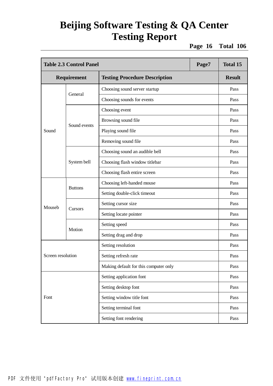**Page 16 Total 106**

| <b>Table 2.3 Control Panel</b><br>Page7 |                |                                       | <b>Total 15</b> |               |
|-----------------------------------------|----------------|---------------------------------------|-----------------|---------------|
| Requirement                             |                | <b>Testing Procedure Description</b>  |                 | <b>Result</b> |
|                                         |                | Choosing sound server startup         |                 | Pass          |
|                                         | General        | Choosing sounds for events            |                 | Pass          |
|                                         |                | Choosing event                        |                 | Pass          |
|                                         | Sound events   | Browsing sound file                   |                 | Pass          |
| Sound                                   |                | Playing sound file                    |                 | Pass          |
|                                         |                | Removing sound file                   |                 | Pass          |
|                                         |                | Choosing sound an audible bell        |                 | Pass          |
|                                         | System bell    | Choosing flash window titlebar        |                 | Pass          |
|                                         |                | Choosing flash entire screen          |                 | Pass          |
|                                         | <b>Buttons</b> | Choosing left-handed mouse            |                 | Pass          |
|                                         |                | Setting double-click timeout          |                 | Pass          |
| Mouseb                                  | Cursors        | Setting cursor size                   |                 | Pass          |
|                                         |                | Setting locate pointer                |                 | Pass          |
|                                         | Motion         | Setting speed                         |                 | Pass          |
|                                         |                | Setting drag and drop                 |                 | Pass          |
|                                         |                | Setting resolution                    |                 | Pass          |
| Screen resolution                       |                | Setting refresh rate                  |                 | Pass          |
|                                         |                | Making default for this computer only |                 | Pass          |
|                                         |                | Setting application font              |                 | Pass          |
| Font                                    |                | Setting desktop font                  |                 | Pass          |
|                                         |                | Setting window title font             |                 | Pass          |
|                                         |                | Setting terminal font                 |                 | Pass          |
|                                         |                | Setting font rendering                |                 | Pass          |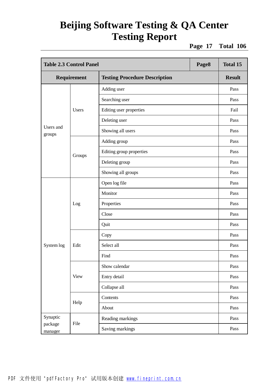**Page 17 Total 106**

| <b>Table 2.3 Control Panel</b> |              |                                      | Page8 | <b>Total 15</b> |
|--------------------------------|--------------|--------------------------------------|-------|-----------------|
|                                | Requirement  | <b>Testing Procedure Description</b> |       | <b>Result</b>   |
|                                |              | Adding user                          |       | Pass            |
|                                |              | Searching user                       |       | Pass            |
|                                | <b>Users</b> | Editing user properties              |       | Fail            |
|                                |              | Deleting user                        |       | Pass            |
| Users and<br>groups            |              | Showing all users                    |       | Pass            |
|                                |              | Adding group                         |       | Pass            |
|                                | Groups       | Editing group properties             |       | Pass            |
|                                |              | Deleting group                       |       | Pass            |
|                                |              | Showing all groups                   |       | Pass            |
|                                | Log          | Open log file                        |       | Pass            |
|                                |              | Monitor                              |       | Pass            |
|                                |              | Properties                           |       | Pass            |
|                                |              | Close                                |       | Pass            |
|                                |              | Quit                                 |       | Pass            |
|                                |              | Copy                                 |       | Pass            |
| System log                     | Edit         | Select all                           |       | Pass            |
|                                |              | Find                                 |       | Pass            |
|                                |              | Show calendar                        |       | Pass            |
|                                | <b>View</b>  | Entry detail                         |       | Pass            |
|                                |              | Collapse all                         |       | Pass            |
|                                |              | Contents                             |       | Pass            |
|                                | Help         | About                                |       | Pass            |
| Synaptic                       |              | Reading markings                     |       | Pass            |
| package<br>manager             | File         | Saving markings                      |       | Pass            |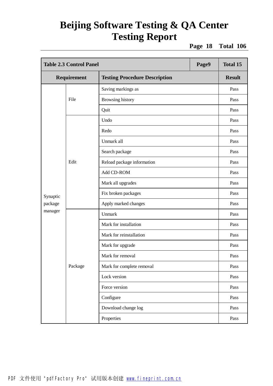**Page 18 Total 106**

|                                                     | <b>Table 2.3 Control Panel</b><br>Page9 |                            |               | <b>Total 15</b> |
|-----------------------------------------------------|-----------------------------------------|----------------------------|---------------|-----------------|
| <b>Testing Procedure Description</b><br>Requirement |                                         |                            | <b>Result</b> |                 |
|                                                     |                                         | Saving markings as         |               | Pass            |
|                                                     | File                                    | Browsing history           |               | Pass            |
|                                                     |                                         | Quit                       |               | Pass            |
|                                                     |                                         | Undo                       |               | Pass            |
|                                                     |                                         | Redo                       |               | Pass            |
|                                                     |                                         | Unmark all                 |               | Pass            |
|                                                     |                                         | Search package             |               | Pass            |
|                                                     | Edit                                    | Reload package information |               | Pass            |
|                                                     |                                         | Add CD-ROM                 |               | Pass            |
|                                                     |                                         | Mark all upgrades          |               | Pass            |
| Synaptic                                            |                                         | Fix broken packages        |               | Pass            |
| package                                             |                                         | Apply marked changes       |               | Pass            |
| manager                                             |                                         | Unmark                     |               | Pass            |
|                                                     |                                         | Mark for installation      |               | Pass            |
|                                                     |                                         | Mark for reinstallation    |               | Pass            |
|                                                     |                                         | Mark for upgrade           |               | Pass            |
|                                                     |                                         | Mark for removal           |               | Pass            |
|                                                     | Package                                 | Mark for complete removal  |               | Pass            |
|                                                     |                                         | Lock version               |               | Pass            |
|                                                     |                                         | Force version              |               | Pass            |
|                                                     |                                         | Configure                  |               | Pass            |
|                                                     |                                         | Download change log        |               | Pass            |
|                                                     |                                         | Properties                 |               | Pass            |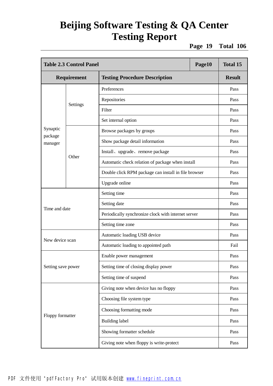**Page 19 Total 106**

|                    | <b>Table 2.3 Control Panel</b><br>Page10 |                                                      |  | <b>Total 15</b>                                                                                                                      |
|--------------------|------------------------------------------|------------------------------------------------------|--|--------------------------------------------------------------------------------------------------------------------------------------|
|                    | <b>Requirement</b>                       | <b>Testing Procedure Description</b>                 |  | <b>Result</b>                                                                                                                        |
|                    |                                          | Preferences                                          |  | Pass                                                                                                                                 |
|                    |                                          | Repositories                                         |  | Pass                                                                                                                                 |
|                    | Settings                                 | Filter                                               |  | Pass                                                                                                                                 |
|                    |                                          | Set internal option                                  |  | Pass                                                                                                                                 |
| Synaptic           |                                          | Browse packages by groups                            |  | Pass                                                                                                                                 |
| package<br>manager |                                          | Show package detail information                      |  | Pass<br>Pass<br>Pass<br>Pass<br>Pass<br>Pass<br>Pass<br>Pass<br>Pass<br>Pass<br>Fail<br>Pass<br>Pass<br>Pass<br>Pass<br>Pass<br>Pass |
|                    |                                          | Install, upgrade, remove package                     |  |                                                                                                                                      |
|                    | Other                                    | Automatic check relation of package when install     |  |                                                                                                                                      |
|                    |                                          | Double click RPM package can install in file browser |  |                                                                                                                                      |
|                    |                                          | Upgrade online                                       |  |                                                                                                                                      |
|                    |                                          | Setting time                                         |  |                                                                                                                                      |
|                    |                                          | Setting date                                         |  |                                                                                                                                      |
| Time and date      |                                          | Periodically synchronize clock with internet server  |  |                                                                                                                                      |
|                    |                                          | Setting time zone                                    |  |                                                                                                                                      |
| New device scan    |                                          | Automatic loading USB device                         |  |                                                                                                                                      |
|                    |                                          | Automatic loading to appointed path                  |  |                                                                                                                                      |
|                    |                                          | Enable power management                              |  |                                                                                                                                      |
| Setting save power |                                          | Setting time of closing display power                |  |                                                                                                                                      |
|                    |                                          | Setting time of suspend                              |  |                                                                                                                                      |
|                    |                                          | Giving note when device has no floppy                |  |                                                                                                                                      |
|                    |                                          | Choosing file system type                            |  |                                                                                                                                      |
|                    |                                          | Choosing formatting mode                             |  |                                                                                                                                      |
| Floppy formatter   |                                          | <b>Building label</b>                                |  | Pass                                                                                                                                 |
|                    |                                          | Showing formatter schedule                           |  | Pass                                                                                                                                 |
|                    |                                          | Giving note when floppy is write-protect             |  | Pass                                                                                                                                 |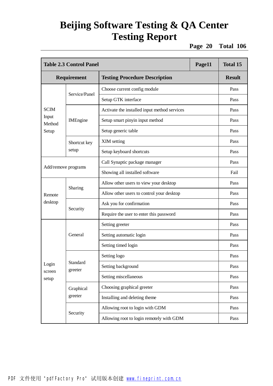**Page 20 Total 106**

| Page11<br><b>Table 2.3 Control Panel</b> |                     |                                              | <b>Total 15</b> |               |
|------------------------------------------|---------------------|----------------------------------------------|-----------------|---------------|
| Requirement                              |                     | <b>Testing Procedure Description</b>         |                 | <b>Result</b> |
|                                          |                     | Choose current config module                 |                 | Pass          |
|                                          | Service/Panel       | Setup GTK interface                          |                 | Pass          |
| <b>SCIM</b>                              |                     | Activate the installed input method services |                 | Pass          |
| Input<br>Method                          | <b>IMEngine</b>     | Setup smart pinyin input method              |                 | Pass          |
| Setup                                    |                     | Setup generic table                          |                 | Pass          |
|                                          | Shortcut key        | XIM setting                                  |                 | Pass          |
|                                          | setup               | Setup keyboard shortcuts                     |                 | Pass          |
|                                          |                     | Call Synaptic package manager                |                 | Pass          |
| Add/remove programs                      |                     | Showing all installed software               |                 | Fail          |
|                                          | Sharing             | Allow other users to view your desktop       |                 | Pass          |
| Remote                                   |                     | Allow other users to control your desktop    |                 | Pass          |
| desktop                                  | Security            | Ask you for confirmation                     |                 | Pass          |
|                                          |                     | Require the user to enter this password      |                 | Pass          |
|                                          | General             | Setting greeter                              |                 | Pass          |
|                                          |                     | Setting automatic login                      |                 | Pass          |
|                                          |                     | Setting timed login                          |                 | Pass          |
|                                          |                     | Setting logo                                 |                 | Pass          |
| Login                                    | Standard<br>greeter | Setting background                           |                 | Pass          |
| screen<br>setup                          |                     | Setting miscellaneous                        |                 | Pass          |
|                                          | Graphical           | Choosing graphical greeter                   |                 | Pass          |
|                                          | greeter             | Installing and deleting theme                |                 | Pass          |
|                                          |                     | Allowing root to login with GDM              |                 | Pass          |
|                                          | Security            | Allowing root to login remotely with GDM     |                 | Pass          |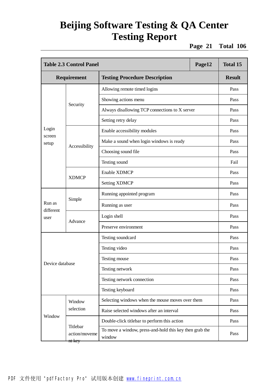**Page 21 Total 106**

|                     | <b>Table 2.3 Control Panel</b><br>Page12       |                                                                   |  | <b>Total 15</b> |
|---------------------|------------------------------------------------|-------------------------------------------------------------------|--|-----------------|
| Requirement         |                                                | <b>Testing Procedure Description</b>                              |  | <b>Result</b>   |
|                     |                                                | Allowing remote timed logins                                      |  | Pass            |
|                     |                                                | Showing actions menu                                              |  | Pass            |
|                     | Security                                       | Always disallowing TCP connections to X server                    |  | Pass            |
|                     |                                                | Setting retry delay                                               |  | Pass            |
| Login               |                                                | Enable accessibility modules                                      |  | Pass            |
| screen<br>setup     |                                                | Make a sound when login windows is ready                          |  | Pass            |
|                     | Accessibility                                  | Choosing sound file                                               |  | Pass            |
|                     |                                                | Testing sound                                                     |  | Fail            |
|                     | <b>XDMCP</b>                                   | <b>Enable XDMCP</b>                                               |  | Pass            |
|                     |                                                | <b>Setting XDMCP</b>                                              |  | Pass            |
|                     | Simple                                         | Running appointed program                                         |  | Pass            |
| Run as<br>different |                                                | Running as user                                                   |  | Pass            |
| user                | Advance                                        | Login shell                                                       |  | Pass            |
|                     |                                                | Preserve environment                                              |  | Pass            |
|                     |                                                | Testing soundcard                                                 |  | Pass            |
|                     |                                                | Testing video                                                     |  | Pass            |
|                     |                                                | Testing mouse                                                     |  | Pass            |
| Device database     |                                                | Testing network                                                   |  | Pass            |
|                     |                                                | Testing network connection                                        |  | Pass            |
|                     |                                                | Testing keyboard                                                  |  | Pass            |
|                     | Window                                         | Selecting windows when the mouse moves over them                  |  | Pass            |
|                     | selection                                      | Raise selected windows after an interval                          |  | Pass            |
| Window              |                                                | Double-click titlebar to perform this action                      |  | Pass            |
|                     | Titlebar<br>action/moveme<br><del>nt key</del> | To move a window, press-and-hold this key then grab the<br>window |  | Pass            |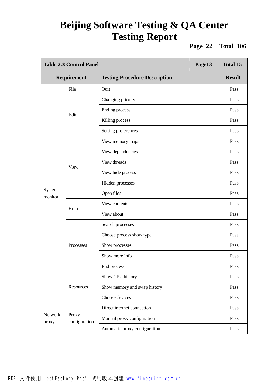**Page 22 Total 106**

|                   | <b>Table 2.3 Control Panel</b><br>Page13 |                                      |  | <b>Total 15</b> |
|-------------------|------------------------------------------|--------------------------------------|--|-----------------|
| Requirement       |                                          | <b>Testing Procedure Description</b> |  | <b>Result</b>   |
|                   | File                                     | Quit                                 |  | Pass            |
|                   |                                          | Changing priority                    |  | Pass            |
|                   | Edit                                     | Ending process                       |  | Pass            |
|                   |                                          | Killing process                      |  | Pass            |
|                   |                                          | Setting preferences                  |  | Pass            |
|                   |                                          | View memory maps                     |  | Pass            |
|                   |                                          | View dependencies                    |  | Pass            |
|                   |                                          | View threads                         |  | Pass            |
|                   | <b>View</b>                              | View hide process                    |  | Pass            |
|                   |                                          | Hidden processes                     |  | Pass            |
| System<br>monitor |                                          | Open files                           |  | Pass            |
|                   | Help                                     | View contents                        |  | Pass            |
|                   |                                          | View about                           |  | Pass            |
|                   |                                          | Search processes                     |  | Pass            |
|                   |                                          | Choose process show type             |  | Pass            |
|                   | Processes                                | Show processes                       |  | Pass            |
|                   |                                          | Show more info                       |  | Pass            |
|                   |                                          | End process                          |  | Pass            |
|                   |                                          | Show CPU history                     |  | Pass            |
|                   | Resources                                | Show memory and swap history         |  | Pass            |
|                   |                                          | Choose devices                       |  | Pass            |
|                   |                                          | Direct internet connection           |  | Pass            |
| Network<br>proxy  | Proxy<br>configuration                   | Manual proxy configuration           |  | Pass            |
|                   |                                          | Automatic proxy configuration        |  | Pass            |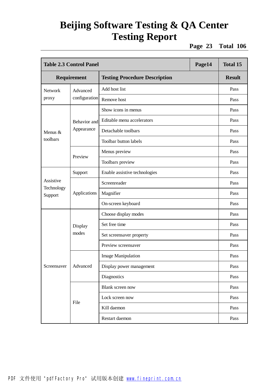**Page 23 Total 106**

|                       | <b>Table 2.3 Control Panel</b><br>Page14 |                                      |  | <b>Total 15</b> |
|-----------------------|------------------------------------------|--------------------------------------|--|-----------------|
| Requirement           |                                          | <b>Testing Procedure Description</b> |  | <b>Result</b>   |
| <b>Network</b>        | Advanced                                 | Add host list                        |  | Pass            |
| proxy                 | configuration                            | Remove host                          |  | Pass            |
|                       |                                          | Show icons in menus                  |  | Pass            |
|                       | Behavior and                             | Editable menu accelerators           |  | Pass            |
| Menus &               | Appearance                               | Detachable toolbars                  |  | Pass            |
| toolbars              |                                          | Toolbar button labels                |  | Pass            |
|                       |                                          | Menus preview                        |  | Pass            |
|                       | Preview                                  | Toolbars preview                     |  | Pass            |
|                       | Support                                  | Enable assistive technologies        |  | Pass            |
| Assistive             | Applications                             | Screenreader                         |  | Pass            |
| Technology<br>Support |                                          | Magnifier                            |  | Pass            |
|                       |                                          | On-screen keyboard                   |  | Pass            |
|                       |                                          | Choose display modes                 |  | Pass            |
|                       | Display                                  | Set free time                        |  | Pass            |
|                       | modes                                    | Set screensaver property             |  | Pass            |
|                       |                                          | Preview screensaver                  |  | Pass            |
|                       |                                          | <b>Image Manipulation</b>            |  | Pass            |
| Screensaver           | Advanced                                 | Display power management             |  | Pass            |
|                       |                                          | Diagnostics                          |  | Pass            |
|                       |                                          | Blank screen now                     |  | Pass            |
|                       |                                          | Lock screen now                      |  | Pass            |
|                       | File                                     | Kill daemon                          |  | Pass            |
|                       |                                          | Restart daemon                       |  | Pass            |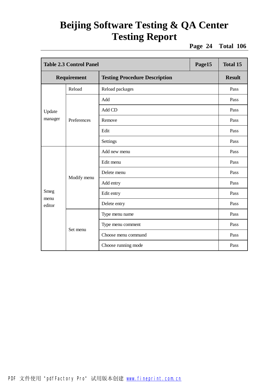**Page 24 Total 106**

|                | <b>Table 2.3 Control Panel</b><br>Page15 |                                      |  | <b>Total 15</b> |
|----------------|------------------------------------------|--------------------------------------|--|-----------------|
| Requirement    |                                          | <b>Testing Procedure Description</b> |  | <b>Result</b>   |
|                | Reload                                   | Reload packages                      |  | Pass            |
|                |                                          | Add                                  |  | Pass            |
| Update         |                                          | Add CD                               |  | Pass            |
| manager        | Preferences                              | Remove                               |  | Pass            |
|                |                                          | Edit                                 |  | Pass            |
|                |                                          | Settings                             |  | Pass            |
|                |                                          | Add new menu                         |  | Pass            |
|                |                                          | Edit menu                            |  | Pass            |
|                |                                          | Delete menu                          |  | Pass            |
|                | Modify menu                              | Add entry                            |  | Pass            |
| Smeg           |                                          | Edit entry                           |  | Pass            |
| menu<br>editor |                                          | Delete entry                         |  | Pass            |
|                |                                          | Type menu name                       |  | Pass            |
|                |                                          | Type menu comment                    |  | Pass            |
|                | Set menu                                 | Choose menu command                  |  | Pass            |
|                |                                          | Choose running mode                  |  | Pass            |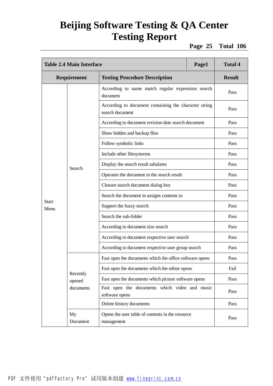**Page 25 Total 106**

| <b>Table 2.4 Main Interface</b> |                    |                                                                          | Page1 | <b>Total 4</b> |
|---------------------------------|--------------------|--------------------------------------------------------------------------|-------|----------------|
|                                 | Requirement        | <b>Testing Procedure Description</b>                                     |       | <b>Result</b>  |
|                                 |                    | According to name match regular expression search<br>document            |       | Pass           |
|                                 |                    | According to document containing the character string<br>search document |       | Pass           |
|                                 |                    | According to document revision date search document                      |       | Pass           |
|                                 |                    | Show hidden and backup flies                                             |       | Pass           |
|                                 |                    | Follow symbolic links                                                    |       | Pass           |
|                                 |                    | Include other filesysterms                                               |       | Pass           |
|                                 | Search             | Display the search result tabulates                                      |       | Pass           |
|                                 |                    | Operates the document in the search result                               |       | Pass           |
|                                 |                    | Closure search document dialog box                                       |       | Pass           |
|                                 |                    | Search the document in assigns contents to                               |       | Pass           |
| <b>Start</b><br>Menu            |                    | Support the fuzzy search                                                 |       | Pass           |
|                                 |                    | Search the sub-folder                                                    |       | Pass           |
|                                 |                    | According to document size search                                        |       | Pass           |
|                                 |                    | According to document respective user search                             |       | Pass           |
|                                 |                    | According to document respective user group search                       |       | Pass           |
|                                 |                    | Fast open the documents which the office software opens                  |       | Pass           |
|                                 |                    | Fast open the documents which the editor opens                           |       | Fail           |
|                                 | Recently<br>opened | Fast open the documents which picture software opens                     |       | Pass           |
|                                 | documents          | Fast open the documents which video and music<br>software opens          |       | Pass           |
|                                 |                    | Delete history documents                                                 |       | Pass           |
|                                 | My<br>Document     | Opens the user table of contents in the resource<br>management           |       | Pass           |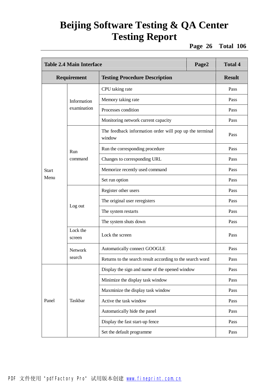**Page 26 Total 106**

| <b>Table 2.4 Main Interface</b><br>Page2 |                    |                                                                   |  | <b>Total 4</b> |
|------------------------------------------|--------------------|-------------------------------------------------------------------|--|----------------|
|                                          | Requirement        | <b>Testing Procedure Description</b>                              |  | <b>Result</b>  |
|                                          |                    | CPU taking rate                                                   |  | Pass           |
|                                          | Information        | Memory taking rate                                                |  | Pass           |
|                                          | examination        | Processes condition                                               |  | Pass           |
|                                          |                    | Monitoring network current capacity                               |  | Pass           |
|                                          |                    | The feedback information order will pop up the terminal<br>window |  | Pass           |
|                                          | Run                | Run the corresponding procedure                                   |  | Pass           |
|                                          | command            | Changes to corresponding URL                                      |  | Pass           |
| <b>Start</b>                             |                    | Memorize recently used command                                    |  | Pass           |
| Menu                                     |                    | Set run option                                                    |  | Pass           |
|                                          | Log out            | Register other users                                              |  | Pass           |
|                                          |                    | The original user reregisters                                     |  | Pass           |
|                                          |                    | The system restarts                                               |  | Pass           |
|                                          |                    | The system shuts down                                             |  | Pass           |
|                                          | Lock the<br>screen | Lock the screen                                                   |  | Pass           |
|                                          | Network            | Automatically connect GOOGLE                                      |  | Pass           |
|                                          | search             | Returns to the search result according to the search word         |  | Pass           |
|                                          |                    | Display the sign and name of the opened window                    |  | Pass           |
|                                          |                    | Minimize the display task window                                  |  | Pass           |
|                                          |                    | Maxminize the display task window                                 |  | Pass           |
| Panel                                    | Taskbar            | Active the task window                                            |  | Pass           |
|                                          |                    | Automatically hide the panel                                      |  | Pass           |
|                                          |                    | Display the fast start-up fence                                   |  | Pass           |
|                                          |                    | Set the default programme                                         |  | Pass           |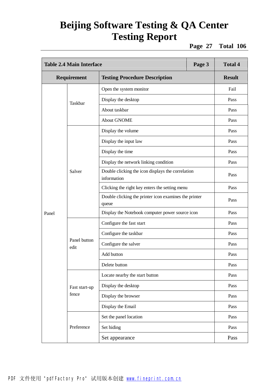**Page 27 Total 106**

| <b>Table 2.4 Main Interface</b>                     |                      |                                                                  | Page 3        | <b>Total 4</b> |
|-----------------------------------------------------|----------------------|------------------------------------------------------------------|---------------|----------------|
| Requirement<br><b>Testing Procedure Description</b> |                      |                                                                  | <b>Result</b> |                |
|                                                     |                      | Open the system monitor                                          |               | Fail           |
|                                                     | Taskbar              | Display the desktop                                              |               | Pass           |
|                                                     |                      | About taskbar                                                    |               | Pass           |
|                                                     |                      | <b>About GNOME</b>                                               |               | Pass           |
|                                                     |                      | Display the volume                                               |               | Pass           |
|                                                     |                      | Display the input law                                            |               | Pass           |
|                                                     |                      | Display the time                                                 |               | Pass           |
|                                                     |                      | Display the network linking condition                            |               | Pass           |
|                                                     | Salver               | Double clicking the icon displays the correlation<br>information |               | Pass           |
|                                                     |                      | Clicking the right key enters the setting menu                   |               | Pass           |
|                                                     |                      | Double clicking the printer icon examines the printer<br>queue   |               | Pass           |
| Panel                                               |                      | Display the Notebook computer power source icon                  |               | Pass           |
|                                                     | Panel button<br>edit | Configure the fast start                                         |               | Pass           |
|                                                     |                      | Configure the taskbar                                            |               | Pass           |
|                                                     |                      | Configure the salver                                             |               | Pass           |
|                                                     |                      | Add button                                                       |               | Pass           |
|                                                     |                      | Delete button                                                    |               | Pass           |
|                                                     |                      | Locate nearby the start button                                   |               | Pass           |
|                                                     | Fast start-up        | Display the desktop                                              |               | Pass           |
|                                                     | fence                | Display the browser                                              |               | Pass           |
|                                                     |                      | Display the Email                                                |               | Pass           |
|                                                     |                      | Set the panel location                                           |               | Pass           |
|                                                     | Preference           | Set hiding                                                       |               | Pass           |
|                                                     |                      | Set appearance                                                   |               | Pass           |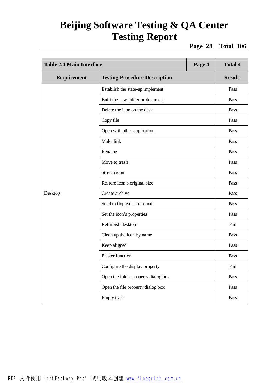**Page 28 Total 106**

| <b>Table 2.4 Main Interface</b><br>Page 4 |                                      |  | <b>Total 4</b> |
|-------------------------------------------|--------------------------------------|--|----------------|
| Requirement                               | <b>Testing Procedure Description</b> |  | <b>Result</b>  |
|                                           | Establish the state-up implement     |  | Pass           |
|                                           | Built the new folder or document     |  | Pass           |
|                                           | Delete the icon on the desk          |  | Pass           |
|                                           | Copy file                            |  | Pass           |
|                                           | Open with other application          |  | Pass           |
|                                           | Make link                            |  | Pass           |
|                                           | Rename                               |  | Pass           |
|                                           | Move to trash                        |  | Pass           |
|                                           | Stretch icon                         |  | Pass           |
|                                           | Restore icon's original size         |  | Pass           |
| Desktop                                   | Create archive                       |  | Pass           |
|                                           | Send to floppydisk or email          |  | Pass           |
|                                           | Set the icon's properties            |  | Pass           |
|                                           | Refurbish desktop                    |  | Fail           |
|                                           | Clean up the icon by name            |  | Pass           |
|                                           | Keep aligned                         |  | Pass           |
|                                           | Plaster function                     |  | Pass           |
|                                           | Configure the display property       |  | Fail           |
|                                           | Open the folder property dialog box  |  | Pass           |
|                                           | Open the file property dialog box    |  | Pass           |
|                                           | Empty trash                          |  | Pass           |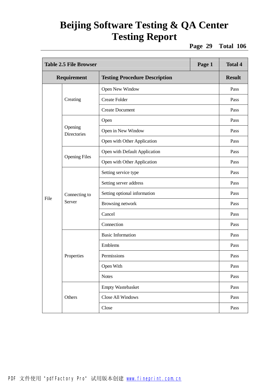**Page 29 Total 106**

| <b>Table 2.5 File Browser</b> |                         |                                      | Page 1 | <b>Total 4</b> |
|-------------------------------|-------------------------|--------------------------------------|--------|----------------|
|                               | Requirement             | <b>Testing Procedure Description</b> |        | <b>Result</b>  |
|                               | Creating                | Open New Window                      |        | Pass           |
|                               |                         | <b>Create Folder</b>                 |        | Pass           |
|                               |                         | <b>Create Document</b>               |        | Pass           |
|                               |                         | Open                                 |        | Pass           |
|                               | Opening<br>Directories  | Open in New Window                   |        | Pass           |
|                               |                         | Open with Other Application          |        | Pass           |
|                               |                         | Open with Default Application        |        | Pass           |
|                               | <b>Opening Files</b>    | Open with Other Application          |        | Pass           |
|                               | Connecting to<br>Server | Setting service type                 |        | Pass           |
|                               |                         | Setting server address               |        | Pass           |
|                               |                         | Setting optional information         |        | Pass           |
| File                          |                         | Browsing network                     |        | Pass           |
|                               |                         | Cancel                               |        | Pass           |
|                               |                         | Connection                           |        | Pass           |
|                               |                         | <b>Basic Information</b>             |        | Pass           |
|                               |                         | Emblems                              |        | Pass           |
|                               | Properties              | Permissions                          |        | Pass           |
|                               |                         | Open With                            |        | Pass           |
|                               |                         | <b>Notes</b>                         |        | Pass           |
|                               |                         | <b>Empty Wastebasket</b>             |        | Pass           |
|                               | Others                  | Close All Windows                    |        | Pass           |
|                               |                         | Close                                |        | Pass           |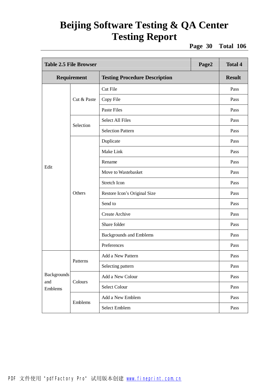**Page 30 Total 106**

| <b>Table 2.5 File Browser</b> |             |                                      | Page2 | <b>Total 4</b> |
|-------------------------------|-------------|--------------------------------------|-------|----------------|
|                               | Requirement | <b>Testing Procedure Description</b> |       | <b>Result</b>  |
|                               |             | Cut File                             |       | Pass           |
|                               | Cut & Paste | Copy File                            |       | Pass           |
|                               |             | <b>Paste Files</b>                   |       | Pass           |
|                               | Selection   | <b>Select All Files</b>              |       | Pass           |
|                               |             | <b>Selection Pattern</b>             |       | Pass           |
|                               |             | Duplicate                            |       | Pass           |
|                               |             | Make Link                            |       | Pass           |
| Edit                          | Others      | Rename                               |       | Pass           |
|                               |             | Move to Wastebasket                  |       | Pass           |
|                               |             | Stretch Icon                         |       | Pass           |
|                               |             | Restore Icon's Original Size         |       | Pass           |
|                               |             | Send to                              |       | Pass           |
|                               |             | <b>Create Archive</b>                |       | Pass           |
|                               |             | Share folder                         |       | Pass           |
|                               |             | <b>Backgrounds and Emblems</b>       |       | Pass           |
|                               |             | Preferences                          |       | Pass           |
|                               | Patterns    | Add a New Pattern                    |       | Pass           |
|                               |             | Selecting pattern                    |       | Pass           |
| <b>Backgrounds</b>            | Colours     | Add a New Colour                     |       | Pass           |
| and<br>Emblems                |             | Select Colour                        |       | Pass           |
|                               |             | Add a New Emblem                     |       | Pass           |
|                               | Emblems     | Select Emblem                        |       | Pass           |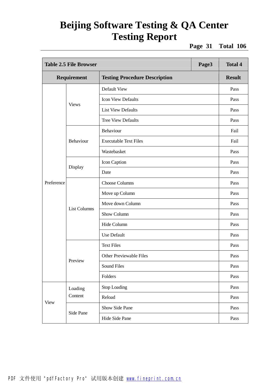**Page 31 Total 106**

| <b>Table 2.5 File Browser</b> |                     |                                      | Page3 | <b>Total 4</b> |
|-------------------------------|---------------------|--------------------------------------|-------|----------------|
| Requirement                   |                     | <b>Testing Procedure Description</b> |       | <b>Result</b>  |
|                               |                     | Default View                         |       | Pass           |
|                               |                     | <b>Icon View Defaults</b>            |       | Pass           |
|                               | <b>Views</b>        | <b>List View Defaults</b>            |       | Pass           |
|                               |                     | <b>Tree View Defaults</b>            |       | Pass           |
|                               |                     | Behaviour                            |       | Fail           |
|                               | Behaviour           | <b>Executable Text Files</b>         |       | Fail           |
|                               |                     | Wastebasket                          |       | Pass           |
|                               |                     | Icon Caption                         |       | Pass           |
|                               | Display             | Date                                 |       | Pass           |
| Preference                    | <b>List Columns</b> | <b>Choose Columns</b>                |       | Pass           |
|                               |                     | Move up Column                       |       | Pass           |
|                               |                     | Move down Column                     |       | Pass           |
|                               |                     | Show Column                          |       | Pass           |
|                               |                     | Hide Column                          |       | Pass           |
|                               |                     | Use Default                          |       | Pass           |
|                               |                     | <b>Text Files</b>                    |       | Pass           |
|                               |                     | <b>Other Previewable Files</b>       |       | Pass           |
|                               | Preview             | Sound Files                          |       | Pass           |
|                               |                     | Folders                              |       | Pass           |
|                               | Loading             | Stop Loading                         |       | Pass           |
|                               | Content             | Reload                               |       | Pass           |
| <b>View</b>                   |                     | Show Side Pane                       |       | Pass           |
|                               | Side Pane           | Hide Side Pane                       |       | Pass           |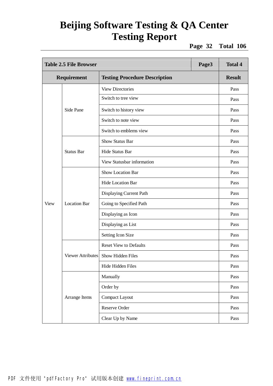**Page 32 Total 106**

| <b>Table 2.5 File Browser</b> |                          |                                      | Page3 | <b>Total 4</b> |
|-------------------------------|--------------------------|--------------------------------------|-------|----------------|
|                               | Requirement              | <b>Testing Procedure Description</b> |       | <b>Result</b>  |
|                               |                          | <b>View Directories</b>              |       | Pass           |
|                               |                          | Switch to tree view                  |       | Pass           |
|                               | Side Pane                | Switch to history view               |       | Pass           |
|                               |                          | Switch to note view                  |       | Pass           |
|                               |                          | Switch to emblems view               |       | Pass           |
|                               |                          | <b>Show Status Bar</b>               |       | Pass           |
|                               | <b>Status Bar</b>        | <b>Hide Status Bar</b>               |       | Pass           |
|                               |                          | View Statusbar information           |       | Pass           |
|                               | <b>Location Bar</b>      | <b>Show Location Bar</b>             |       | Pass           |
|                               |                          | Hide Location Bar                    |       | Pass           |
|                               |                          | Displaying Current Path              |       | Pass           |
| View                          |                          | Going to Specified Path              |       | Pass           |
|                               |                          | Displaying as Icon                   |       | Pass           |
|                               |                          | Displaying as List                   |       | Pass           |
|                               |                          | Setting Icon Size                    |       | Pass           |
|                               |                          | <b>Reset View to Defaults</b>        |       | Pass           |
|                               | <b>Viewer Attributes</b> | Show Hidden Files                    |       | Pass           |
|                               |                          | Hide Hidden Files                    |       | Pass           |
|                               |                          | Manually                             |       | Pass           |
|                               |                          | Order by                             |       | Pass           |
|                               | Arrange Items            | <b>Compact Layout</b>                |       | Pass           |
|                               |                          | Reserve Order                        |       | Pass           |
|                               |                          | Clear Up by Name                     |       | Pass           |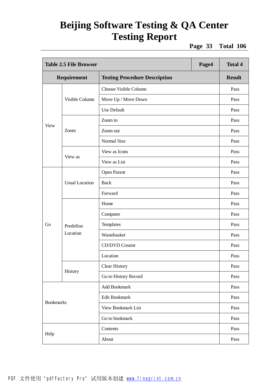**Page 33 Total 106**

| <b>Table 2.5 File Browser</b><br>Page4 |                       |                                      | <b>Total 4</b> |               |
|----------------------------------------|-----------------------|--------------------------------------|----------------|---------------|
|                                        | Requirement           | <b>Testing Procedure Description</b> |                | <b>Result</b> |
|                                        |                       | Choose Visible Column                |                | Pass          |
|                                        | Visible Column        | Move Up / Move Down                  |                | Pass          |
|                                        |                       | <b>Use Default</b>                   |                | Pass          |
|                                        |                       | Zoom in                              |                | Pass          |
| <b>View</b>                            | Zoom                  | Zoom out                             |                | Pass          |
|                                        |                       | Normal Size                          |                | Pass          |
|                                        |                       | View as Icons                        |                | Pass          |
|                                        | View as               | View as List                         |                | Pass          |
|                                        | <b>Usual Location</b> | Open Parent                          |                | Pass          |
|                                        |                       | <b>Back</b>                          |                | Pass          |
|                                        |                       | Forward                              |                | Pass          |
|                                        |                       | Home                                 |                | Pass          |
|                                        | Predefine<br>Location | Computer                             |                | Pass          |
| Go                                     |                       | Templates                            |                | Pass          |
|                                        |                       | Wastebasket                          |                | Pass          |
|                                        |                       | <b>CD/DVD</b> Creator                |                | Pass          |
|                                        |                       | Location                             |                | Pass          |
|                                        |                       | <b>Clear History</b>                 |                | Pass          |
|                                        | History               | Go to History Record                 |                | Pass          |
| <b>Bookmarks</b>                       |                       | Add Bookmark                         |                | Pass          |
|                                        |                       | Edit Bookmark                        |                | Pass          |
|                                        |                       | <b>View Bookmark List</b>            |                | Pass          |
|                                        |                       | Go to bookmark                       |                | Pass          |
| Help                                   |                       | Contents                             |                | Pass          |
|                                        |                       | About                                |                | Pass          |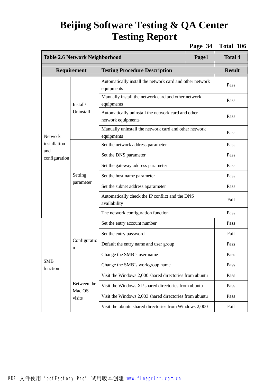**Page 34 Total 106**

| <b>Table 2.6 Network Neighborhood</b> | <b>Total 4</b>                                                             |                                                                          |      |               |
|---------------------------------------|----------------------------------------------------------------------------|--------------------------------------------------------------------------|------|---------------|
|                                       | Requirement                                                                | <b>Testing Procedure Description</b>                                     |      | <b>Result</b> |
|                                       |                                                                            | Automatically install the network card and other network<br>equipments   |      | Pass          |
|                                       | Install/                                                                   | Manually install the network card and other network<br>equipments        |      | Pass          |
|                                       | Uninstall                                                                  | Automatically uninstall the network card and other<br>network equipments |      | Pass          |
| <b>Network</b>                        |                                                                            | Manually uninstall the network card and other network<br>equipments      |      | Pass          |
| installation                          |                                                                            | Set the network address parameter                                        |      | Pass          |
| and<br>configuration                  |                                                                            | Set the DNS parameter                                                    |      | Pass          |
|                                       | Setting<br>parameter                                                       | Set the gateway address parameter                                        |      | Pass          |
|                                       |                                                                            | Set the host name parameter                                              |      | Pass          |
|                                       |                                                                            | Set the subnet address aparameter                                        |      | Pass          |
|                                       |                                                                            | Automatically check the IP conflict and the DNS<br>availability          |      | Fail          |
|                                       |                                                                            | The network configuration function                                       |      | Pass          |
|                                       |                                                                            | Set the entry account number                                             |      | Pass          |
|                                       | Configuratio<br>n                                                          | Set the entry password                                                   |      | Fail          |
|                                       |                                                                            | Default the entry name and user group                                    |      | Pass          |
|                                       |                                                                            | Change the SMB's user name                                               |      | Pass          |
| <b>SMB</b><br>function                | Change the SMB's workgroup name                                            |                                                                          | Pass |               |
|                                       |                                                                            | Visit the Windows 2,000 shared directories from ubuntu                   |      | Pass          |
|                                       | Between the                                                                | Visit the Windows XP shared directories from ubuntu                      |      | Pass          |
|                                       | Mac OS<br>Visit the Windows 2,003 shared directories from ubuntu<br>visits |                                                                          | Pass |               |
|                                       |                                                                            | Visit the ubuntu shared directories from Windows 2,000                   |      | Fail          |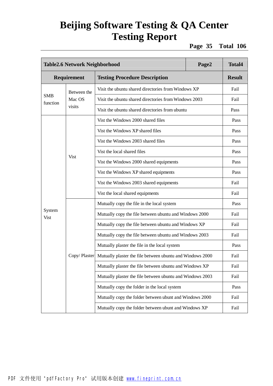**Page 35 Total 106**

| Table2.6 Network Neighborhood |                                                         |                                                                          | Page2                                        | <b>Total4</b> |  |
|-------------------------------|---------------------------------------------------------|--------------------------------------------------------------------------|----------------------------------------------|---------------|--|
|                               | <b>Requirement</b>                                      | <b>Testing Procedure Description</b>                                     |                                              | <b>Result</b> |  |
|                               | Between the                                             | Visit the ubuntu shared directories from Windows XP                      |                                              | Fail          |  |
| <b>SMB</b><br>function        | Mac OS                                                  | Visit the ubuntu shared directories from Windows 2003                    |                                              | Fail          |  |
|                               | visits                                                  | Visit the ubuntu shared directories from ubuntu                          |                                              | Pass          |  |
|                               |                                                         | Vist the Windows 2000 shared files                                       |                                              | Pass          |  |
|                               |                                                         | Vist the Windows XP shared files                                         |                                              | Pass          |  |
|                               |                                                         | Vist the Windows 2003 shared files                                       |                                              | Pass          |  |
|                               |                                                         | Vist the local shared files                                              |                                              | Pass          |  |
|                               | <b>Vist</b>                                             | Vist the Windows 2000 shared equipments                                  |                                              | Pass          |  |
|                               |                                                         | Vist the Windows XP shared equipments                                    |                                              | Pass          |  |
|                               |                                                         | Vist the Windows 2003 shared equipments                                  |                                              | Fail          |  |
|                               |                                                         | Vist the local shared equipments                                         |                                              | Fail          |  |
|                               |                                                         | Mutually copy the file in the local system                               |                                              | Pass          |  |
| System<br>Vist                |                                                         | Mutually copy the file between ubuntu and Windows 2000                   |                                              | Fail          |  |
|                               |                                                         | Mutually copy the file between ubuntu and Windows XP                     |                                              | Fail          |  |
|                               |                                                         | Mutually copy the file between ubuntu and Windows 2003                   |                                              | Fail          |  |
|                               |                                                         | Mutually plaster the file in the local system                            |                                              | Pass          |  |
|                               |                                                         | Copy/Plaster   Mutually plaster the file between ubuntu and Windows 2000 |                                              | Fail          |  |
|                               | Mutually plaster the file between ubuntu and Windows XP |                                                                          |                                              | Fail          |  |
|                               |                                                         | Mutually plaster the file between ubuntu and Windows 2003                |                                              | Fail          |  |
|                               |                                                         |                                                                          | Mutually copy the folder in the local system |               |  |
|                               |                                                         | Mutually copy the folder between ubunt and Windows 2000                  |                                              | Fail          |  |
|                               |                                                         | Mutually copy the folder between ubunt and Windows XP                    |                                              | Fail          |  |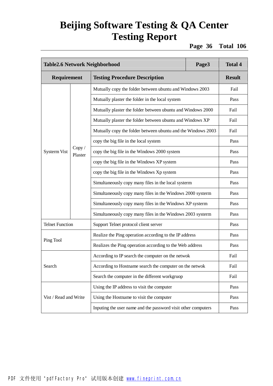**Page 36 Total 106**

| Table2.6 Network Neighborhood |                   | Page3                                                         | <b>Total 4</b> |                              |
|-------------------------------|-------------------|---------------------------------------------------------------|----------------|------------------------------|
| Requirement                   |                   | <b>Testing Procedure Description</b>                          |                | <b>Result</b>                |
|                               |                   | Mutually copy the folder between ubuntu and Windows 2003      |                | Fail                         |
|                               |                   | Mutually plaster the folder in the local system               |                | Pass                         |
|                               |                   | Mutually plaster the folder between ubuntu and Windows 2000   |                | Fail                         |
|                               |                   | Mutually plaster the folder between ubuntu and Windows XP     |                | Fail                         |
|                               |                   | Mutually copy the folder between ubuntu and the Windows 2003  |                | Fail                         |
|                               |                   | copy the big file in the local system                         |                | Pass<br>Pass<br>Pass<br>Pass |
| <b>Systerm Vist</b>           | Copy /<br>Plaster | copy the big file in the Windows 2000 system                  |                |                              |
|                               |                   | copy the big file in the Windows XP system                    |                |                              |
|                               |                   | copy the big file in the Windows Xp system                    |                |                              |
|                               |                   | Simultaneously copy many files in the local systerm           |                | Pass                         |
|                               |                   | Simultaneously copy many files in the Windows 2000 systerm    |                | Pass                         |
|                               |                   | Simultaneously copy many files in the Windows XP systerm      |                | Pass                         |
|                               |                   | Simultaneously copy many files in the Windows 2003 systerm    |                | Pass                         |
| <b>Telnet Function</b>        |                   | Support Telnet protocol client server                         |                | Pass                         |
|                               |                   | Realize the Ping operation according to the IP address        |                | Pass                         |
| Ping Tool                     |                   | Realizes the Ping operation according to the Web address      |                | Pass                         |
|                               |                   | According to IP search the computer on the netwok             |                | Fail                         |
| Search                        |                   | According to Hostname search the computer on the netwok       |                | Fail                         |
|                               |                   | Search the computer in the different workgruop                |                | Fail                         |
|                               |                   | Using the IP address to visit the computer                    |                | Pass                         |
| Vist / Read and Write         |                   | Using the Hostname to visit the computer                      |                | Pass                         |
|                               |                   | Inputing the user name and the password visit other computers |                | Pass                         |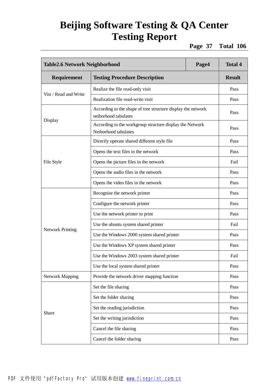**Page 37 Total 106**

| Table2.6 Network Neighborhood |                                                                                      | Page4 | <b>Total 4</b> |
|-------------------------------|--------------------------------------------------------------------------------------|-------|----------------|
| Requirement                   | <b>Testing Procedure Description</b>                                                 |       | <b>Result</b>  |
| Vist / Read and Write         | Realize the file read-only visit                                                     |       | Pass           |
|                               | Realization file read-write visit                                                    |       | Pass           |
|                               | According to the shape of tree structure display the network<br>neiborhood tabulates |       | Pass           |
| Display                       | According to the workgroup structure display the Network<br>Neiborhood tabulates     |       | Pass           |
|                               | Directly operate shared different style file                                         |       | Pass           |
|                               | Opens the text files in the network                                                  |       | Pass           |
| File Style                    | Opens the picture files in the network                                               |       | Fail           |
|                               | Opens the audio files in the network                                                 |       | Pass           |
|                               | Opens the video files in the network                                                 |       | Pass           |
|                               | Recognise the network printer                                                        |       | Pass           |
|                               | Configure the network printer                                                        |       | Pass           |
|                               | Use the network printer to print                                                     |       | Pass           |
|                               | Use the ubuntu system shared printer                                                 |       | Fail           |
| <b>Network Printing</b>       | Use the Windows 2000 system shared printer                                           |       | Pass           |
|                               | Use the Windows XP system shared printer                                             |       | Pass           |
|                               | Use the Windows 2003 system shared printer                                           |       | Fail           |
|                               | Use the local system shared printer                                                  |       | Pass           |
| <b>Network Mapping</b>        | Provide the network driver mapping function                                          |       | Pass           |
|                               | Set the file sharing                                                                 |       | Pass           |
|                               | Set the folder sharing                                                               |       | Pass           |
|                               | Set the reading jurisdiction                                                         |       | Pass           |
| Share                         | Set the writing jurisdiction                                                         |       | Pass           |
|                               | Cancel the file sharing                                                              |       | Pass           |
|                               | Cancel the folder sharing                                                            |       | Pass           |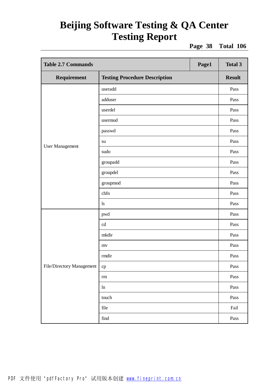**Page 38 Total 106**

| <b>Table 2.7 Commands</b><br>Page1 |                                      |  | <b>Total 3</b>        |
|------------------------------------|--------------------------------------|--|-----------------------|
| Requirement                        | <b>Testing Procedure Description</b> |  | <b>Result</b>         |
|                                    | useradd                              |  | Pass                  |
|                                    | adduser                              |  | Pass                  |
|                                    | userdel                              |  | Pass                  |
|                                    | usermod                              |  | Pass                  |
|                                    | passwd                               |  | Pass                  |
|                                    | su                                   |  | Pass                  |
| <b>User Management</b>             | sudo                                 |  | Pass                  |
|                                    | groupadd                             |  | Pass                  |
|                                    | groupdel                             |  | Pass                  |
|                                    | groupmod                             |  | Pass                  |
|                                    | chfn                                 |  | Pass                  |
|                                    | $\lg$                                |  | Pass                  |
|                                    | pwd                                  |  | Pass                  |
|                                    | cd                                   |  | Pass                  |
|                                    | mkdir                                |  | Pass                  |
|                                    | mv                                   |  | Pass                  |
|                                    | rmdir                                |  | Pass                  |
| File/Directory Management          | $\rm cp$                             |  | Pass                  |
|                                    | rm                                   |  | Pass                  |
|                                    | ln                                   |  | Pass                  |
|                                    | touch                                |  | Pass                  |
|                                    | file                                 |  | $\operatorname{fail}$ |
|                                    | find                                 |  | Pass                  |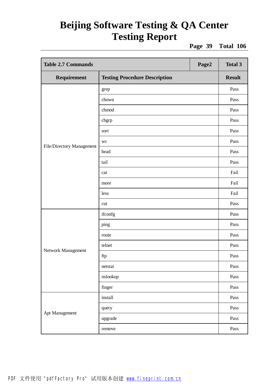**Page 39 Total 106**

| <b>Table 2.7 Commands</b><br>Page2 |                                      |  | <b>Total 3</b> |
|------------------------------------|--------------------------------------|--|----------------|
| Requirement                        | <b>Testing Procedure Description</b> |  | <b>Result</b>  |
|                                    | grep                                 |  | Pass           |
|                                    | chown                                |  | Pass           |
|                                    | chmod                                |  | Pass           |
|                                    | chgrp                                |  | Pass           |
|                                    | sort                                 |  | Pass           |
|                                    | wc                                   |  | Pass           |
| File/Directory Management          | head                                 |  | Pass           |
|                                    | tail                                 |  | Pass           |
|                                    | cat                                  |  | Fail           |
|                                    | more                                 |  | Fail           |
|                                    | less                                 |  | Fail           |
|                                    | cut                                  |  | Pass           |
|                                    | ifconfg                              |  | Pass           |
|                                    | ping                                 |  | Pass           |
|                                    | route                                |  | Pass           |
|                                    | telnet                               |  | Pass           |
| Network Management                 | ftp                                  |  | Pass           |
|                                    | netstat                              |  | Pass           |
|                                    | nslookup                             |  | Pass           |
|                                    | finger                               |  | Pass           |
|                                    | install                              |  | Pass           |
|                                    | query                                |  | Pass           |
| Apt Management                     | upgrade                              |  | Pass           |
|                                    | remove                               |  | Pass           |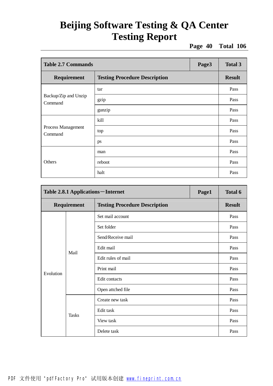**Page 40 Total 106**

| <b>Table 2.7 Commands</b>       |                                      | Page3 | <b>Total 3</b> |
|---------------------------------|--------------------------------------|-------|----------------|
| Requirement                     | <b>Testing Procedure Description</b> |       | <b>Result</b>  |
|                                 | tar                                  |       | Pass           |
| Backup/Zip and Unzip<br>Command | gzip                                 |       | Pass           |
|                                 | gunzip                               |       | Pass           |
|                                 | kill                                 |       | Pass           |
| Process Management<br>Command   | top                                  |       | Pass           |
|                                 | ps                                   |       | Pass           |
|                                 | man                                  |       | Pass           |
| Others                          | reboot                               |       | Pass           |
|                                 | halt                                 |       | Pass           |

| Table 2.8.1 Applications – Internet                 |              | Page1              | <b>Total 6</b> |      |
|-----------------------------------------------------|--------------|--------------------|----------------|------|
| <b>Testing Procedure Description</b><br>Requirement |              | <b>Result</b>      |                |      |
|                                                     |              | Set mail account   |                | Pass |
|                                                     |              | Set folder         |                | Pass |
|                                                     |              | Send/Receive mail  |                | Pass |
|                                                     | Mail         | Edit mail          |                | Pass |
|                                                     |              | Edit rules of mail |                | Pass |
| Evolution                                           |              | Print mail         |                | Pass |
|                                                     |              | Edit contacts      |                | Pass |
|                                                     |              | Open attched file  |                | Pass |
|                                                     |              | Create new task    |                | Pass |
|                                                     |              | Edit task          |                | Pass |
|                                                     | <b>Tasks</b> | View task          |                | Pass |
|                                                     |              | Delete task        |                | Pass |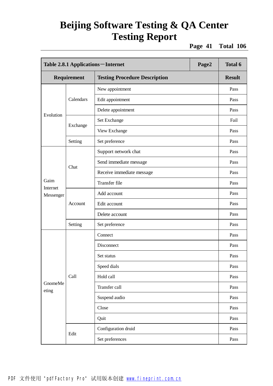**Page 41 Total 106**

| Table 2.8.1 Applications – Internet<br>Page2 |             |                                      | Total 6       |
|----------------------------------------------|-------------|--------------------------------------|---------------|
|                                              | Requirement | <b>Testing Procedure Description</b> | <b>Result</b> |
|                                              |             | New appointment                      | Pass          |
|                                              | Calendars   | Edit appointment                     | Pass          |
| Evolution                                    |             | Delete appointment                   | Pass          |
|                                              |             | Set Exchange                         | Fail          |
|                                              | Exchange    | View Exchange                        | Pass          |
|                                              | Setting     | Set preference                       | Pass          |
|                                              |             | Support network chat                 | Pass          |
|                                              |             | Send immediate message               | Pass          |
|                                              | Chat        | Receive immediate message            | Pass          |
| Gaim                                         |             | Transfer file                        | Pass          |
| Internet<br>Messenger                        | Account     | Add account                          | Pass          |
|                                              |             | Edit account                         | Pass          |
|                                              |             | Delete account                       | Pass          |
|                                              | Setting     | Set preference                       | Pass          |
|                                              |             | Connect                              | Pass          |
|                                              |             | Disconnect                           | Pass          |
|                                              |             | Set status                           | Pass          |
|                                              |             | Speed dials                          | Pass          |
|                                              | Call        | Hold call                            | Pass          |
| GnomeMe<br>eting                             |             | Transfer call                        | Pass          |
|                                              |             | Suspend audio                        | Pass          |
|                                              |             | Close                                | Pass          |
|                                              |             | Quit                                 | Pass          |
|                                              |             | Configuration druid                  | Pass          |
|                                              | Edit        | Set preferences                      | Pass          |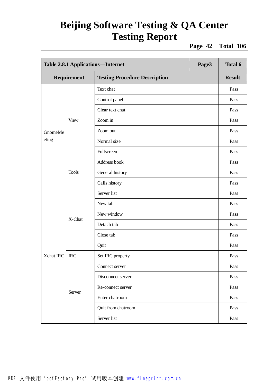**Page 42 Total 106**

|           | Table 2.8.1 Applications - Internet<br>Page3 |                                      | <b>Total 6</b> |               |
|-----------|----------------------------------------------|--------------------------------------|----------------|---------------|
|           | Requirement                                  | <b>Testing Procedure Description</b> |                | <b>Result</b> |
|           |                                              | Text chat                            |                | Pass          |
|           |                                              | Control panel                        |                | Pass          |
|           |                                              | Clear text chat                      |                | Pass          |
|           | <b>View</b>                                  | Zoom in                              |                | Pass          |
| GnomeMe   |                                              | Zoom out                             |                | Pass          |
| eting     |                                              | Normal size                          |                | Pass          |
|           |                                              | Fullscreen                           |                | Pass          |
|           |                                              | Address book                         |                | Pass          |
|           | <b>Tools</b>                                 | General history                      |                | Pass          |
|           |                                              | Calls history                        |                | Pass          |
|           | X-Chat                                       | Server list                          |                | Pass          |
|           |                                              | New tab                              |                | Pass          |
|           |                                              | New window                           |                | Pass          |
|           |                                              | Detach tab                           |                | Pass          |
|           |                                              | Close tab                            |                | Pass          |
|           |                                              | Quit                                 |                | Pass          |
| Xchat IRC | <b>IRC</b>                                   | Set IRC property                     |                | Pass          |
|           |                                              | Connect server                       |                | Pass          |
|           |                                              | Disconnect server                    |                | Pass          |
|           |                                              | Re-connect server                    |                | Pass          |
|           | Server                                       | Enter chatroom                       |                | Pass          |
|           |                                              | Quit from chatroom                   |                | Pass          |
|           |                                              | Server list                          |                | Pass          |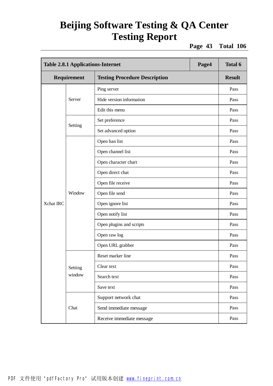**Page 43 Total 106**

| <b>Table 2.8.1 Applications-Internet</b> |             | Page4                                | <b>Total 6</b> |               |
|------------------------------------------|-------------|--------------------------------------|----------------|---------------|
|                                          | Requirement | <b>Testing Procedure Description</b> |                | <b>Result</b> |
|                                          |             | Ping server                          |                | Pass          |
|                                          | Server      | Hide version information             |                | Pass          |
|                                          |             | Edit this menu                       |                | Pass          |
|                                          |             | Set preference                       |                | Pass          |
|                                          | Setting     | Set advanced option                  |                | Pass          |
|                                          |             | Open ban list                        |                | Pass          |
|                                          |             | Open channel list                    |                | Pass          |
|                                          |             | Open character chart                 |                | Pass          |
|                                          | Window      | Open direct chat                     |                | Pass          |
|                                          |             | Open file receive                    |                | Pass          |
|                                          |             | Open file send                       |                | Pass          |
| Xchat IRC                                |             | Open ignore list                     |                | Pass          |
|                                          |             | Open notify list                     |                | Pass          |
|                                          |             | Open plugins and scripts             |                | Pass          |
|                                          |             | Open raw log                         |                | Pass          |
|                                          |             | Open URL grabber                     |                | Pass          |
|                                          |             | Reset marker line                    |                | Pass          |
|                                          | Setting     | Clear text                           |                | Pass          |
|                                          | window      | Search text                          |                | Pass          |
|                                          |             | Save text                            |                | Pass          |
|                                          |             | Support network chat                 |                | Pass          |
|                                          | Chat        | Send immediate message               |                | Pass          |
|                                          |             | Receive immediate message            |                | Pass          |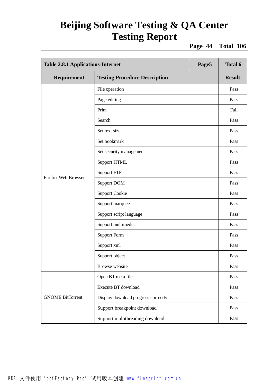**Page 44 Total 106**

| <b>Table 2.8.1 Applications-Internet</b> |                                      | Page5 | <b>Total 6</b> |
|------------------------------------------|--------------------------------------|-------|----------------|
| Requirement                              | <b>Testing Procedure Description</b> |       | <b>Result</b>  |
|                                          | File operation                       |       | Pass           |
|                                          | Page editing                         |       | Pass           |
|                                          | Print                                |       | Fail           |
|                                          | Search                               |       | Pass           |
|                                          | Set text size                        |       | Pass           |
|                                          | Set bookmark                         |       | Pass           |
|                                          | Set security management              |       | Pass           |
|                                          | <b>Support HTML</b>                  |       | Pass           |
|                                          | <b>Support FTP</b>                   |       | Pass           |
| <b>Firefox Web Browser</b>               | <b>Support DOM</b>                   |       | Pass           |
|                                          | <b>Support Cookie</b>                |       | Pass           |
|                                          | Support marquee                      |       | Pass           |
|                                          | Support script language              |       | Pass           |
|                                          | Support multimedia                   |       | Pass           |
|                                          | <b>Support Form</b>                  |       | Pass           |
|                                          | Support xml                          |       | Pass           |
|                                          | Support object                       |       | Pass           |
|                                          | <b>Browse</b> website                |       | Pass           |
|                                          | Open BT meta file                    |       | Pass           |
|                                          | Execute BT download                  |       | Pass           |
| <b>GNOME BitTorrent</b>                  | Display download progress correctly  |       | Pass           |
|                                          | Support breakpoint download          |       | Pass           |
|                                          | Support multithreading download      |       | Pass           |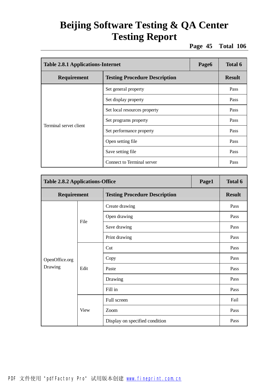**Page 45 Total 106**

| <b>Table 2.8.1 Applications-Internet</b><br>Page6 |                                      |  | Total 6       |
|---------------------------------------------------|--------------------------------------|--|---------------|
| Requirement                                       | <b>Testing Procedure Description</b> |  | <b>Result</b> |
|                                                   | Set general property                 |  | Pass          |
|                                                   | Set display property                 |  | Pass          |
|                                                   | Set local resources property         |  | Pass          |
| Terminal servet client                            | Set programs property                |  | Pass          |
|                                                   | Set performance property             |  | Pass          |
|                                                   | Open setting file                    |  | Pass          |
|                                                   | Save setting file                    |  | Pass          |
|                                                   | Connect to Terminal server           |  | Pass          |

| <b>Table 2.8.2 Applications-Office</b> |             |                                      | Page1 | <b>Total 6</b> |
|----------------------------------------|-------------|--------------------------------------|-------|----------------|
| <b>Requirement</b>                     |             | <b>Testing Procedure Description</b> |       | <b>Result</b>  |
|                                        |             | Create drawing                       |       | Pass           |
|                                        | File        | Open drawing                         |       | Pass           |
|                                        |             | Save drawing                         |       | Pass           |
|                                        |             | Print drawing                        |       | Pass           |
|                                        |             | Cut                                  |       | Pass           |
| OpenOffice.org                         |             | Copy                                 |       | Pass           |
| Drawing                                | Edit        | Paste                                |       | Pass           |
|                                        |             | Drawing                              |       | Pass           |
|                                        |             | Fill in                              |       | Pass           |
|                                        |             | Full screen                          |       | Fail           |
|                                        | <b>View</b> | Zoom                                 |       | Pass           |
|                                        |             | Display on specified condition       |       | Pass           |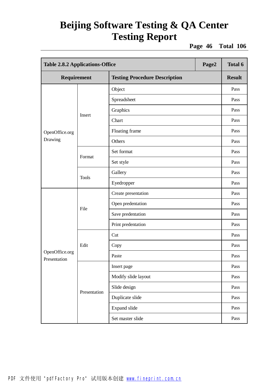**Page 46 Total 106**

|                                | <b>Table 2.8.2 Applications-Office</b><br>Page2 |                                      |  | <b>Total 6</b> |
|--------------------------------|-------------------------------------------------|--------------------------------------|--|----------------|
| Requirement                    |                                                 | <b>Testing Procedure Description</b> |  | <b>Result</b>  |
|                                |                                                 | Object                               |  | Pass           |
|                                |                                                 | Spreadsheet                          |  | Pass           |
|                                |                                                 | Graphics                             |  | Pass           |
|                                | Insert                                          | Chart                                |  | Pass           |
| OpenOffice.org                 |                                                 | Floating frame                       |  | Pass           |
| Drawing                        |                                                 | Others                               |  | Pass           |
|                                |                                                 | Set format                           |  | Pass           |
|                                | Format                                          | Set style                            |  | Pass           |
|                                | <b>Tools</b>                                    | Gallery                              |  | Pass           |
|                                |                                                 | Eyedropper                           |  | Pass           |
|                                | File                                            | Create presentation                  |  | Pass           |
|                                |                                                 | Open predentation                    |  | Pass           |
|                                |                                                 | Save predentation                    |  | Pass           |
|                                |                                                 | Print predentation                   |  | Pass           |
|                                |                                                 | Cut                                  |  | Pass           |
|                                | Edit                                            | Copy                                 |  | Pass           |
| OpenOffice.org<br>Presentation |                                                 | Paste                                |  | Pass           |
|                                |                                                 | Insert page                          |  | Pass           |
|                                |                                                 | Modify slide layout                  |  | Pass           |
|                                | Presentation                                    | Slide design                         |  | Pass           |
|                                |                                                 | Duplicate slide                      |  | Pass           |
|                                |                                                 | Expand slide                         |  | Pass           |
|                                |                                                 | Set master slide                     |  | Pass           |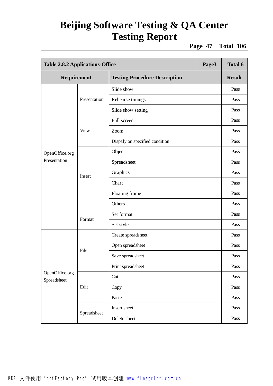**Page 47 Total 106**

|                               | <b>Table 2.8.2 Applications-Office</b><br>Page3 |                                      |  | Total 6       |
|-------------------------------|-------------------------------------------------|--------------------------------------|--|---------------|
| Requirement                   |                                                 | <b>Testing Procedure Description</b> |  | <b>Result</b> |
|                               |                                                 | Slide show                           |  | Pass          |
|                               | Presentation                                    | Rehearse timings                     |  | Pass          |
|                               |                                                 | Slide show setting                   |  | Pass          |
|                               |                                                 | Full screen                          |  | Pass          |
|                               | <b>View</b>                                     | Zoom                                 |  | Pass          |
|                               |                                                 | Dispaly on specified condition       |  | Pass          |
| OpenOffice.org                |                                                 | Object                               |  | Pass          |
| Presentation                  |                                                 | Spreadsheet                          |  | Pass          |
|                               | Insert                                          | Graphics                             |  | Pass          |
|                               |                                                 | Chart                                |  | Pass          |
|                               |                                                 | Floating frame                       |  | Pass          |
|                               |                                                 | Others                               |  | Pass          |
|                               | Format                                          | Set format                           |  | Pass          |
|                               |                                                 | Set style                            |  | Pass          |
|                               |                                                 | Create spreadsheet                   |  | Pass          |
|                               |                                                 | Open spreadsheet                     |  | Pass          |
|                               | File                                            | Save spreadsheet                     |  | Pass          |
|                               |                                                 | Print spreadsheet                    |  | Pass          |
| OpenOffice.org<br>Spreadsheet |                                                 | Cut                                  |  | Pass          |
|                               | Edit                                            | Copy                                 |  | Pass          |
|                               |                                                 | Paste                                |  | Pass          |
|                               |                                                 | Insert sheet                         |  | Pass          |
|                               | Spreadsheet                                     | Delete sheet                         |  | Pass          |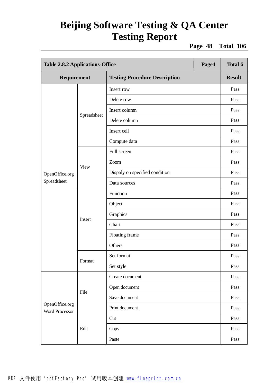**Page 48 Total 106**

|                                         | <b>Table 2.8.2 Applications-Office</b><br>Page4 |                                      |  | <b>Total 6</b> |
|-----------------------------------------|-------------------------------------------------|--------------------------------------|--|----------------|
| Requirement                             |                                                 | <b>Testing Procedure Description</b> |  | <b>Result</b>  |
|                                         |                                                 | Insert row                           |  | Pass           |
|                                         |                                                 | Delete row                           |  | Pass           |
|                                         |                                                 | Insert column                        |  | Pass           |
|                                         | Spreadsheet                                     | Delete column                        |  | Pass           |
|                                         |                                                 | Insert cell                          |  | Pass           |
|                                         |                                                 | Compute data                         |  | Pass           |
|                                         |                                                 | Full screen                          |  | Pass           |
|                                         |                                                 | Zoom                                 |  | Pass           |
| OpenOffice.org                          | View                                            | Dispaly on specified condition       |  | Pass           |
| Spreadsheet                             |                                                 | Data sources                         |  | Pass           |
|                                         | Insert                                          | Function                             |  | Pass           |
|                                         |                                                 | Object                               |  | Pass           |
|                                         |                                                 | Graphics                             |  | Pass           |
|                                         |                                                 | Chart                                |  | Pass           |
|                                         |                                                 | Floating frame                       |  | Pass           |
|                                         |                                                 | Others                               |  | Pass           |
|                                         |                                                 | Set format                           |  | Pass           |
|                                         | Format                                          | Set style                            |  | Pass           |
|                                         |                                                 | Create document                      |  | Pass           |
|                                         |                                                 | Open document                        |  | Pass           |
|                                         | File                                            | Save document                        |  | Pass           |
| OpenOffice.org<br><b>Word Processor</b> |                                                 | Print document                       |  | Pass           |
|                                         |                                                 | Cut                                  |  | Pass           |
|                                         | Edit                                            | Copy                                 |  | Pass           |
|                                         |                                                 | Paste                                |  | Pass           |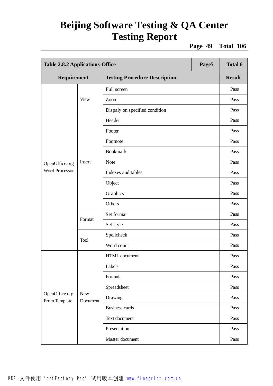**Page 49 Total 106**

|                                 | <b>Table 2.8.2 Applications-Office</b><br>Page5 |                                      |  | <b>Total 6</b> |
|---------------------------------|-------------------------------------------------|--------------------------------------|--|----------------|
| Requirement                     |                                                 | <b>Testing Procedure Description</b> |  | <b>Result</b>  |
|                                 |                                                 | Full screen                          |  | Pass           |
|                                 | <b>View</b>                                     | Zoom                                 |  | Pass           |
|                                 |                                                 | Dispaly on specified condition       |  | Pass           |
|                                 |                                                 | Header                               |  | Pass           |
|                                 |                                                 | Footer                               |  | Pass           |
|                                 |                                                 | Footnote                             |  | Pass           |
|                                 |                                                 | <b>Bookmark</b>                      |  | Pass           |
| OpenOffice.org                  | Insert                                          | <b>Note</b>                          |  | Pass           |
| <b>Word Processor</b>           |                                                 | Indexes and tables                   |  | Pass           |
|                                 |                                                 | Object                               |  | Pass           |
|                                 |                                                 | Graphics                             |  | Pass           |
|                                 |                                                 | Others                               |  | Pass           |
|                                 | Format                                          | Set format                           |  | Pass           |
|                                 |                                                 | Set style                            |  | Pass           |
|                                 | Tool                                            | Spellcheck                           |  | Pass           |
|                                 |                                                 | Word count                           |  | Pass           |
|                                 |                                                 | HTML document                        |  | Pass           |
|                                 |                                                 | Labels                               |  | Pass           |
|                                 |                                                 | Formula                              |  | Pass           |
|                                 |                                                 | Spreadsheet                          |  | Pass           |
| OpenOffice.org<br>From Template | <b>New</b><br>Document                          | Drawing                              |  | Pass           |
|                                 |                                                 | <b>Business cards</b>                |  | Pass           |
|                                 |                                                 | Text document                        |  | Pass           |
|                                 |                                                 | Presentation                         |  | Pass           |
|                                 |                                                 | Master document                      |  | Pass           |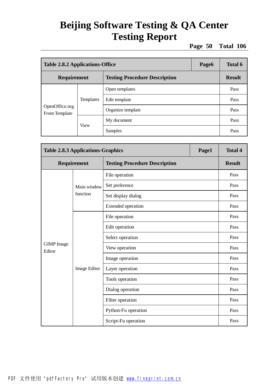**Page 50 Total 106**

|                                 | <b>Table 2.8.2 Applications-Office</b><br>Page6 |                                      |  |               |
|---------------------------------|-------------------------------------------------|--------------------------------------|--|---------------|
| Requirement                     |                                                 | <b>Testing Procedure Description</b> |  | <b>Result</b> |
|                                 | Templates                                       | Open templates                       |  | Pass          |
|                                 |                                                 | Edit template                        |  | Pass          |
| OpenOffice.org<br>From Template |                                                 | Organize template                    |  | Pass          |
|                                 |                                                 | My document                          |  | Pass          |
|                                 | <b>View</b>                                     | Samples                              |  | Pass          |

| <b>Table 2.8.3 Applications-Graphics</b> |              |                                      | Page1 | <b>Total 4</b> |
|------------------------------------------|--------------|--------------------------------------|-------|----------------|
| Requirement                              |              | <b>Testing Procedure Description</b> |       | <b>Result</b>  |
|                                          |              | File operation                       |       | Pass           |
|                                          | Main window  | Set preference                       |       | Pass           |
|                                          | function     | Set display dialog                   |       | Pass           |
|                                          |              | <b>Extended operation</b>            |       | Pass           |
|                                          |              | File operation                       |       | Pass           |
|                                          |              | Edit operation                       |       | Pass           |
|                                          |              | Select operation                     |       | Pass           |
| <b>GIMP</b> Image<br>Editor              |              | View operation                       |       | Pass           |
|                                          |              | Image operation                      |       | Pass           |
|                                          | Image Editor | Layer operation                      |       | Pass           |
|                                          |              | Tools operation                      |       | Pass           |
|                                          |              | Dialog operation                     |       | Pass           |
|                                          |              | Filter operation                     |       | Pass           |
|                                          |              | Python-Fu operation                  |       | Pass           |
|                                          |              | Script-Fu operation                  |       | Pass           |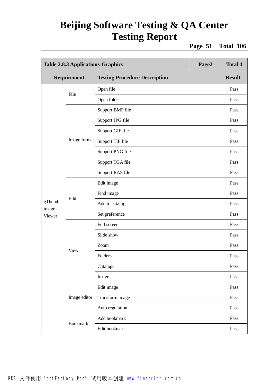**Page 51 Total 106**

|                 | <b>Table 2.8.3 Applications-Graphics</b><br>Page2 |                                      |  | <b>Total 4</b> |
|-----------------|---------------------------------------------------|--------------------------------------|--|----------------|
| Requirement     |                                                   | <b>Testing Procedure Description</b> |  | <b>Result</b>  |
| File            |                                                   | Open file                            |  | Pass           |
|                 |                                                   | Open folder                          |  | Pass           |
|                 |                                                   | Support BMP file                     |  | Pass           |
|                 |                                                   | Support JPG file                     |  | Pass           |
|                 |                                                   | Support GIF file                     |  | Pass           |
|                 | Image format                                      | Support TIF file                     |  | Pass           |
|                 |                                                   | Support PNG file                     |  | Pass           |
|                 |                                                   | Support TGA file                     |  | Pass           |
|                 |                                                   | Support RAS file                     |  | Pass           |
|                 | Edit                                              | Edit image                           |  | Pass           |
|                 |                                                   | Find image                           |  | Pass           |
| gThumb          |                                                   | Add to catalog                       |  | Pass           |
| image<br>Viewer |                                                   | Set preference                       |  | Pass           |
|                 |                                                   | Full screen                          |  | Pass           |
|                 |                                                   | Slide show                           |  | Pass           |
|                 | View                                              | Zoom                                 |  | Pass           |
|                 |                                                   | Folders                              |  | Pass           |
|                 |                                                   | Catalogs                             |  | Pass           |
|                 |                                                   | Image                                |  | Pass           |
|                 |                                                   | Edit image                           |  | Pass           |
|                 | Image editor                                      | Transform image                      |  | Pass           |
|                 |                                                   | Auto regulation                      |  | Pass           |
|                 |                                                   | Add bookmark                         |  | Pass           |
|                 | <b>Bookmark</b>                                   | Edit bookmark                        |  | Pass           |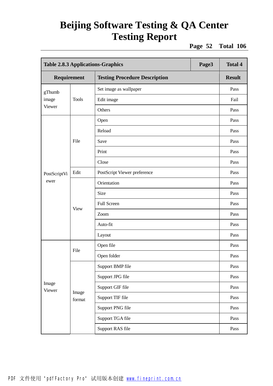**Page 52 Total 106**

|                 | <b>Table 2.8.3 Applications-Graphics</b><br>Page3 |                                      |  | <b>Total 4</b> |
|-----------------|---------------------------------------------------|--------------------------------------|--|----------------|
| Requirement     |                                                   | <b>Testing Procedure Description</b> |  | <b>Result</b>  |
| gThumb<br>image |                                                   | Set image as wallpaper               |  | Pass           |
|                 | <b>Tools</b>                                      | Edit image                           |  | Fail           |
| Viewer          |                                                   | Others                               |  | Pass           |
|                 |                                                   | Open                                 |  | Pass           |
|                 |                                                   | Reload                               |  | Pass           |
|                 | File                                              | Save                                 |  | Pass           |
|                 |                                                   | Print                                |  | Pass           |
| PostScriptVi    |                                                   | Close                                |  | Pass           |
|                 | Edit                                              | PostScript Viewer preference         |  | Pass           |
| ewer            | <b>View</b>                                       | Orientation                          |  | Pass           |
|                 |                                                   | Size                                 |  | Pass           |
|                 |                                                   | Full Screen                          |  | Pass           |
|                 |                                                   | Zoom                                 |  | Pass           |
|                 |                                                   | Auto-fit                             |  | Pass           |
|                 |                                                   | Layout                               |  | Pass           |
|                 |                                                   | Open file                            |  | Pass           |
|                 | File                                              | Open folder                          |  | Pass           |
|                 |                                                   | Support BMP file                     |  | Pass           |
|                 |                                                   | Support JPG file                     |  | Pass           |
| Image<br>Viewer |                                                   | Support GIF file                     |  | Pass           |
|                 | Image<br>format                                   | Support TIF file                     |  | Pass           |
|                 |                                                   | Support PNG file                     |  | Pass           |
|                 |                                                   | Support TGA file                     |  | Pass           |
|                 |                                                   | Support RAS file                     |  | Pass           |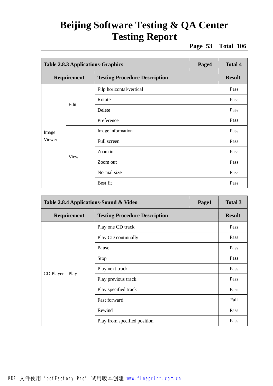**Page 53 Total 106**

|             | <b>Table 2.8.3 Applications-Graphics</b><br>Page4 |                                      |      | <b>Total 4</b> |
|-------------|---------------------------------------------------|--------------------------------------|------|----------------|
| Requirement |                                                   | <b>Testing Procedure Description</b> |      | <b>Result</b>  |
|             |                                                   | Filp horizontal/vertical             |      | Pass           |
|             | Edit                                              | Rotate                               |      | Pass           |
|             |                                                   | Delete                               |      | Pass           |
|             | Preference                                        |                                      | Pass |                |
| Image       |                                                   | Image information                    |      | Pass           |
| Viewer      |                                                   | Full screen                          |      | Pass           |
|             | View                                              | Zoom in                              |      | Pass           |
|             |                                                   | Zoom out                             |      | Pass           |
|             |                                                   | Normal size                          |      | Pass           |
|             |                                                   | Best fit                             |      | Pass           |

|             | Page1<br>Table 2.8.4 Applications-Sound & Video |                                      |  | <b>Total 3</b> |
|-------------|-------------------------------------------------|--------------------------------------|--|----------------|
| Requirement |                                                 | <b>Testing Procedure Description</b> |  | <b>Result</b>  |
|             |                                                 | Play one CD track                    |  | Pass           |
|             |                                                 | Play CD continually                  |  | Pass           |
|             |                                                 | Pause                                |  |                |
|             |                                                 | Stop                                 |  | Pass           |
|             |                                                 | Play next track                      |  | Pass           |
| CD Player   | Play                                            | Play previous track                  |  | Pass           |
|             |                                                 | Play specified track                 |  | Pass           |
|             |                                                 | <b>Fast forward</b>                  |  | Fail           |
|             |                                                 | Rewind                               |  | Pass           |
|             |                                                 | Play from specified position         |  | Pass           |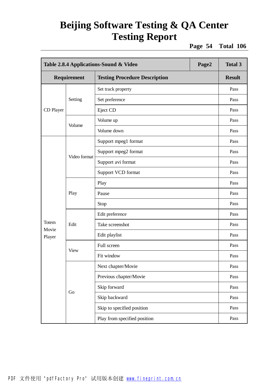**Page 54 Total 106**

|                 | Table 2.8.4 Applications-Sound & Video<br>Page2 |                                      |  | <b>Total 3</b> |
|-----------------|-------------------------------------------------|--------------------------------------|--|----------------|
| Requirement     |                                                 | <b>Testing Procedure Description</b> |  | <b>Result</b>  |
|                 |                                                 | Set track property                   |  | Pass           |
|                 | Setting                                         | Set preference                       |  | Pass           |
| CD Player       |                                                 | Eject CD                             |  | Pass           |
|                 |                                                 | Volume up                            |  | Pass           |
|                 | Volume                                          | Volume down                          |  | Pass           |
|                 |                                                 | Support mpeg1 format                 |  | Pass           |
|                 |                                                 | Support mpeg2 format                 |  | Pass           |
|                 | Video format                                    | Support avi format                   |  | Pass           |
|                 |                                                 | Support VCD format                   |  | Pass           |
|                 | Play                                            | Play                                 |  | Pass           |
|                 |                                                 | Pause                                |  | Pass           |
|                 |                                                 | Stop                                 |  | Pass           |
|                 | Edit                                            | Edit preference                      |  | Pass           |
| Totem           |                                                 | Take screenshot                      |  | Pass           |
| Movie<br>Player |                                                 | Edit playlist                        |  | Pass           |
|                 |                                                 | Full screen                          |  | Pass           |
|                 | View                                            | Fit window                           |  | Pass           |
|                 |                                                 | Next chapter/Movie                   |  | Pass           |
|                 |                                                 | Previous chapter/Movie               |  | Pass           |
|                 |                                                 | Skip forward                         |  | Pass           |
|                 | Go                                              | Skip backward                        |  | Pass           |
|                 |                                                 | Skip to specified position           |  | Pass           |
|                 |                                                 | Play from specified position         |  | Pass           |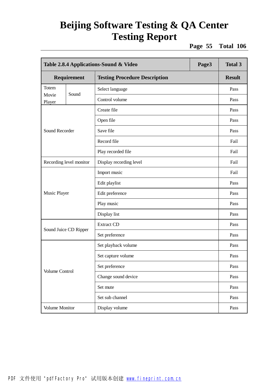**Page 55 Total 106**

|                 | Table 2.8.4 Applications-Sound & Video<br>Page3 |                                      |      |               |
|-----------------|-------------------------------------------------|--------------------------------------|------|---------------|
| Requirement     |                                                 | <b>Testing Procedure Description</b> |      | <b>Result</b> |
| Totem           |                                                 | Select language                      |      | Pass          |
| Movie<br>Player | Sound                                           | Control volume                       |      | Pass          |
|                 |                                                 | Create file                          |      | Pass          |
|                 |                                                 | Open file                            |      | Pass          |
| Sound Recorder  |                                                 | Save file                            |      | Pass          |
|                 |                                                 | Record file                          |      | Fail          |
|                 |                                                 | Play recorded file                   |      | Fail          |
|                 | Recording level monitor                         | Display recording level              |      | Fail          |
|                 |                                                 | Import music                         |      | Fail          |
|                 |                                                 | Edit playlist                        |      | Pass          |
| Music Player    |                                                 | Edit preference                      |      | Pass          |
|                 |                                                 | Play music                           |      | Pass          |
|                 |                                                 | Display list                         |      | Pass          |
|                 |                                                 | <b>Extract CD</b>                    |      | Pass          |
|                 | Sound Juice CD Ripper                           | Set preference                       |      | Pass          |
|                 |                                                 | Set playback volume                  |      | Pass          |
|                 |                                                 | Set capture volume                   |      | Pass          |
|                 |                                                 | Set preference                       |      | Pass          |
| Volume Control  | Change sound device                             |                                      | Pass |               |
|                 | Set mute                                        |                                      | Pass |               |
|                 |                                                 | Set sub channel                      |      | Pass          |
| Volume Monitor  |                                                 | Display volume                       |      | Pass          |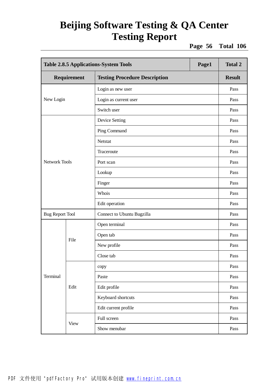**Page 56 Total 106**

|                        | <b>Table 2.8.5 Applications-System Tools</b><br>Page1 |                                      |  | <b>Total 2</b> |
|------------------------|-------------------------------------------------------|--------------------------------------|--|----------------|
|                        | Requirement                                           | <b>Testing Procedure Description</b> |  | <b>Result</b>  |
|                        |                                                       | Login as new user                    |  | Pass           |
| New Login              |                                                       | Login as current user                |  | Pass           |
|                        |                                                       | Switch user                          |  | Pass           |
|                        |                                                       | <b>Device Setting</b>                |  | Pass           |
|                        |                                                       | Ping Command                         |  | Pass           |
|                        |                                                       | Netstat                              |  | Pass           |
|                        |                                                       | Traceroute                           |  | Pass           |
| <b>Network Tools</b>   |                                                       | Port scan                            |  | Pass           |
|                        |                                                       | Lookup                               |  | Pass           |
|                        |                                                       | Finger                               |  | Pass           |
|                        |                                                       | Whois                                |  | Pass           |
|                        |                                                       | Edit operation                       |  | Pass           |
| <b>Bug Report Tool</b> |                                                       | Connect to Ubuntu Bugzilla           |  | Pass           |
|                        |                                                       | Open terminal                        |  | Pass           |
|                        | File                                                  | Open tab                             |  | Pass           |
|                        |                                                       | New profile                          |  | Pass           |
|                        |                                                       | Close tab                            |  | Pass           |
|                        |                                                       | copy                                 |  | Pass           |
| Terminal               |                                                       | Paste                                |  | Pass           |
|                        | Edit                                                  | Edit profile                         |  | Pass           |
|                        |                                                       | Keyboard shortcuts                   |  | Pass           |
|                        |                                                       | Edit current profile                 |  | Pass           |
|                        |                                                       | Full screen                          |  | Pass           |
|                        | <b>View</b>                                           | Show menubar                         |  | Pass           |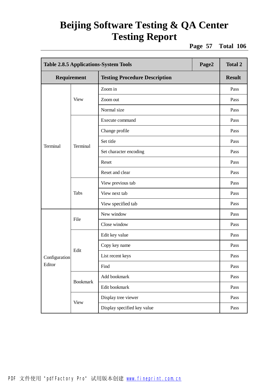**Page 57 Total 106**

|                 | Page2<br><b>Table 2.8.5 Applications-System Tools</b> |                                      |  | <b>Total 2</b> |
|-----------------|-------------------------------------------------------|--------------------------------------|--|----------------|
|                 | Requirement                                           | <b>Testing Procedure Description</b> |  | <b>Result</b>  |
|                 |                                                       | Zoom in                              |  | Pass           |
|                 | View                                                  | Zoom out                             |  | Pass           |
|                 |                                                       | Normal size                          |  | Pass           |
|                 |                                                       | Execute command                      |  | Pass           |
|                 |                                                       | Change profile                       |  | Pass           |
| <b>Terminal</b> | Terminal                                              | Set title                            |  | Pass           |
|                 |                                                       | Set character encoding               |  | Pass           |
|                 |                                                       | Reset                                |  | Pass           |
|                 |                                                       | Reset and clear                      |  | Pass           |
|                 | Tabs                                                  | View previous tab                    |  | Pass           |
|                 |                                                       | View next tab                        |  | Pass           |
|                 |                                                       | View specified tab                   |  | Pass           |
|                 | File                                                  | New window                           |  | Pass           |
|                 |                                                       | Close window                         |  | Pass           |
|                 |                                                       | Edit key value                       |  | Pass           |
|                 | Edit                                                  | Copy key name                        |  | Pass           |
| Configuration   |                                                       | List recent keys                     |  | Pass           |
| Editor          |                                                       | Find                                 |  | Pass           |
|                 | <b>Bookmark</b>                                       | Add bookmark                         |  | Pass           |
|                 |                                                       | Edit bookmark                        |  | Pass           |
|                 |                                                       | Display tree viewer                  |  | Pass           |
|                 | <b>View</b>                                           | Display specified key value          |  | Pass           |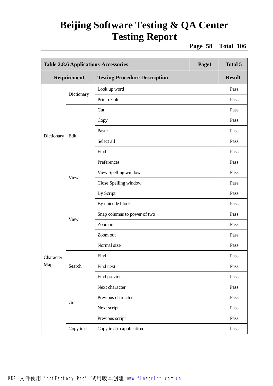**Page 58 Total 106**

| <b>Table 2.8.6 Applications-Accessories</b> |             |                                      | Page1 | <b>Total 5</b> |
|---------------------------------------------|-------------|--------------------------------------|-------|----------------|
| Requirement                                 |             | <b>Testing Procedure Description</b> |       | <b>Result</b>  |
|                                             |             | Look up word                         |       | Pass           |
|                                             | Dictionary  | Print result                         |       | Pass           |
|                                             |             | Cut                                  |       | Pass           |
|                                             |             | Copy                                 |       | Pass           |
|                                             |             | Paste                                |       | Pass           |
| Dictionary                                  | Edit        | Select all                           |       | Pass           |
|                                             |             | Find                                 |       | Pass           |
|                                             |             | Preferences                          |       | Pass           |
|                                             | <b>View</b> | View Spelling window                 |       | Pass           |
|                                             |             | Close Spelling window                |       | Pass           |
|                                             | <b>View</b> | <b>By Script</b>                     |       | Pass           |
|                                             |             | By unicode block                     |       | Pass           |
|                                             |             | Snap columns to power of two         |       | Pass           |
|                                             |             | Zoom in                              |       | Pass           |
|                                             |             | Zoom out                             |       | Pass           |
|                                             |             | Normal size                          |       | Pass           |
| Character                                   |             | Find                                 |       | Pass           |
| Map                                         | Search      | Find next                            |       | Pass           |
|                                             |             | Find previous                        |       | Pass           |
|                                             |             | Next character                       |       | Pass           |
|                                             | Go          | Previous character                   |       | Pass           |
|                                             |             | Next script                          |       | Pass           |
|                                             |             | Previous script                      |       | Pass           |
|                                             | Copy text   | Copy text to application             |       | Pass           |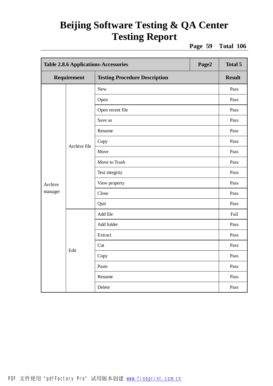**Page 59 Total 106**

|             | <b>Table 2.8.6 Applications-Accessories</b><br>Page2 |                                      |  | <b>Total 5</b> |
|-------------|------------------------------------------------------|--------------------------------------|--|----------------|
| Requirement |                                                      | <b>Testing Procedure Description</b> |  | <b>Result</b>  |
|             |                                                      | <b>New</b>                           |  | Pass           |
|             |                                                      | Open                                 |  | Pass           |
|             |                                                      | Open recent file                     |  | Pass           |
|             |                                                      | Save as                              |  | Pass           |
|             |                                                      | Rename                               |  | Pass           |
|             | Archive file                                         | Copy                                 |  | Pass           |
|             |                                                      | Move                                 |  | Pass           |
|             |                                                      | Move to Trash                        |  | Pass           |
|             |                                                      | Test integrity                       |  | Pass           |
| Archive     |                                                      | View property                        |  | Pass           |
| manager     |                                                      | Close                                |  | Pass           |
|             |                                                      | Quit                                 |  | Pass           |
|             |                                                      | Add file                             |  | Fail           |
|             |                                                      | Add folder                           |  | Pass           |
|             |                                                      | Extract                              |  | Pass           |
|             |                                                      | Cut                                  |  | Pass           |
|             | Edit                                                 | Copy                                 |  | Pass           |
|             |                                                      | Paste                                |  | Pass           |
|             |                                                      | Rename                               |  | Pass           |
|             |                                                      | Delete                               |  | Pass           |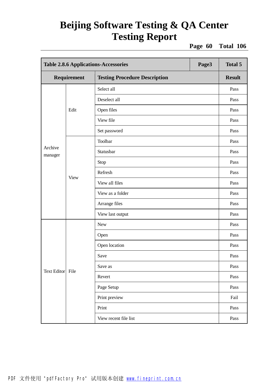**Page 60 Total 106**

| <b>Table 2.8.6 Applications-Accessories</b> |             | Page3                                | <b>Total 5</b> |               |
|---------------------------------------------|-------------|--------------------------------------|----------------|---------------|
| Requirement                                 |             | <b>Testing Procedure Description</b> |                | <b>Result</b> |
|                                             |             | Select all                           |                | Pass          |
|                                             |             | Deselect all                         |                | Pass          |
|                                             | Edit        | Open files                           |                | Pass          |
|                                             |             | View file                            |                | Pass          |
|                                             |             | Set password                         |                | Pass          |
|                                             |             | Toolbar                              |                | Pass          |
| Archive<br>manager                          |             | Statusbar                            |                | Pass          |
|                                             | <b>View</b> | Stop                                 |                | Pass          |
|                                             |             | Refresh                              |                | Pass          |
|                                             |             | View all files                       |                | Pass          |
|                                             |             | View as a folder                     |                | Pass          |
|                                             |             | Arrange files                        |                | Pass          |
|                                             |             | View last output                     |                | Pass          |
|                                             |             | <b>New</b>                           |                | Pass          |
|                                             |             | Open                                 |                | Pass          |
|                                             |             | Open location                        |                | Pass          |
|                                             |             | Save                                 |                | Pass          |
|                                             |             | Save as                              |                | Pass          |
| <b>Text Editor</b>                          | File        | Revert                               |                | Pass          |
|                                             |             | Page Setup                           |                | Pass          |
|                                             |             | Print preview                        |                | Fail          |
|                                             |             | Print                                |                | Pass          |
|                                             |             | View recent file list                |                | Pass          |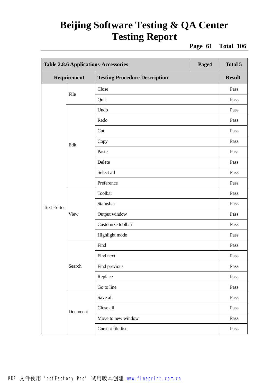**Page 61 Total 106**

|                    | <b>Table 2.8.6 Applications-Accessories</b><br>Page4 |                                      |      | <b>Total 5</b> |
|--------------------|------------------------------------------------------|--------------------------------------|------|----------------|
|                    | Requirement                                          | <b>Testing Procedure Description</b> |      | <b>Result</b>  |
| File               | Close                                                |                                      | Pass |                |
|                    |                                                      | Quit                                 |      | Pass           |
|                    |                                                      | Undo                                 |      | Pass           |
|                    |                                                      | Redo                                 |      | Pass           |
|                    |                                                      | Cut                                  |      | Pass           |
|                    | Edit                                                 | Copy                                 |      | Pass           |
|                    |                                                      | Paste                                |      | Pass           |
|                    |                                                      | Delete                               |      | Pass           |
|                    |                                                      | Select all                           |      | Pass           |
|                    |                                                      | Preference                           |      | Pass           |
|                    | <b>View</b>                                          | Toolbar                              |      | Pass           |
| <b>Text Editor</b> |                                                      | Statusbar                            |      | Pass           |
|                    |                                                      | Output window                        |      | Pass           |
|                    |                                                      | Customize toolbar                    |      | Pass           |
|                    |                                                      | Highlight mode                       |      | Pass           |
|                    |                                                      | Find                                 |      | Pass           |
|                    |                                                      | Find next                            |      | Pass           |
|                    | Search                                               | Find previous                        |      | Pass           |
|                    |                                                      | Replace                              |      | Pass           |
|                    |                                                      | Go to line                           |      | Pass           |
|                    |                                                      | Save all                             |      | Pass           |
|                    | Document                                             | Close all                            |      | Pass           |
|                    |                                                      | Move to new window                   |      | Pass           |
|                    |                                                      | Current file list                    |      | Pass           |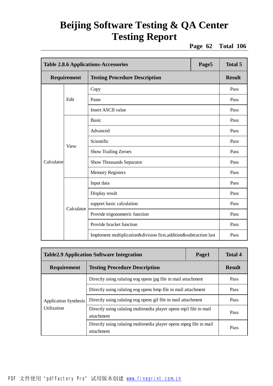**Page 62 Total 106**

|            | <b>Table 2.8.6 Applications-Accessories</b><br>Page5 |                                                                    |  | <b>Total 5</b> |
|------------|------------------------------------------------------|--------------------------------------------------------------------|--|----------------|
|            | Requirement                                          | <b>Testing Procedure Description</b>                               |  | <b>Result</b>  |
|            |                                                      | Copy                                                               |  | Pass           |
|            | Edit                                                 | Paste                                                              |  | Pass           |
|            |                                                      | <b>Insert ASCII value</b>                                          |  | Pass           |
|            |                                                      | <b>Basic</b>                                                       |  | Pass           |
|            |                                                      | Advanced                                                           |  | Pass           |
|            |                                                      | Scientific                                                         |  | Pass           |
|            | <b>View</b>                                          | <b>Show Trailing Zeroes</b>                                        |  | Pass           |
| Calculator |                                                      | Show Thousands Separator                                           |  | Pass           |
|            |                                                      | <b>Memory Registers</b>                                            |  | Pass           |
|            |                                                      | Input data                                                         |  | Pass           |
|            |                                                      | Display result                                                     |  | Pass           |
|            | Calculator                                           | support basic calculation                                          |  | Pass           |
|            |                                                      | Provide trigonometric function                                     |  | Pass           |
|            |                                                      | Provide bracket function                                           |  | Pass           |
|            |                                                      | Implement multiplication&division first, addition&subtraction last |  | Pass           |

| <b>Table 2.9 Application Software Integration</b> |                                                                                 | Page1 | <b>Total 4</b> |
|---------------------------------------------------|---------------------------------------------------------------------------------|-------|----------------|
| Requirement                                       | <b>Testing Procedure Description</b>                                            |       | <b>Result</b>  |
|                                                   | Directly using ralating eog opens jpg file in mail attachment                   |       | Pass           |
|                                                   | Directly using ralating eog opens bmp file in mail attachment                   |       | Pass           |
| <b>Application Synthesis</b>                      | Directly using ralating eog opens gif file in mail attachment                   |       | Pass           |
| Utilization                                       | Directly using ralating multimedia player opens mp3 file in mail<br>attachment  |       | Pass           |
|                                                   | Directly using ralating multimedia player opens mpeg file in mail<br>attachment |       | Pass           |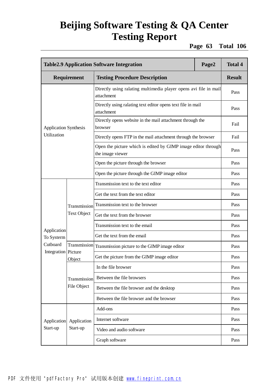**Page 63 Total 106**

|                              | <b>Table2.9 Application Software Integration</b><br>Page2 |                                                                                   |  |               |
|------------------------------|-----------------------------------------------------------|-----------------------------------------------------------------------------------|--|---------------|
|                              | Requirement                                               | <b>Testing Procedure Description</b>                                              |  | <b>Result</b> |
|                              |                                                           | Directly using ralating multimedia player opens avi file in mail<br>attachment    |  | Pass          |
|                              |                                                           | Directly using ralating text editor opens text file in mail<br>attachment         |  | Pass          |
| <b>Application Synthesis</b> |                                                           | Directly opens website in the mail attachment through the<br>browser              |  | Fail          |
| Utilization                  |                                                           | Directly opens FTP in the mail attachment through the browser                     |  | Fail          |
|                              |                                                           | Open the picture which is edited by GIMP image editor through<br>the image viewer |  | Pass          |
|                              |                                                           | Open the picture through the browser                                              |  | Pass          |
|                              |                                                           | Open the picture through the GIMP image editor                                    |  | Pass          |
|                              |                                                           | Transmission text to the text editor                                              |  | Pass          |
|                              |                                                           | Get the text from the text editor                                                 |  | Pass          |
|                              | Transmission                                              | Transmission text to the browser                                                  |  | Pass          |
|                              | <b>Text Object</b>                                        | Get the text from the browser                                                     |  | Pass          |
| Application                  |                                                           | Transmission text to the email                                                    |  | Pass          |
| To Systerm                   |                                                           | Get the text from the email                                                       |  | Pass          |
| Cutboard                     | Transmission<br>Integration Picture<br>Object             | Transmission picture to the GIMP image editor                                     |  | Pass          |
|                              |                                                           | Get the picture from the GIMP image editor                                        |  | Pass          |
|                              |                                                           | In the file browser                                                               |  | Pass          |
|                              | Transmission                                              | Between the file browsers                                                         |  | Pass          |
|                              | File Object                                               | Between the file browser and the desktop                                          |  | Pass          |
|                              |                                                           | Between the file browser and the browser                                          |  | Pass          |
|                              |                                                           | Add-ons                                                                           |  | Pass          |
| Application                  | Application                                               | Internet software                                                                 |  | Pass          |
| Start-up                     | Start-up                                                  | Video and audio software                                                          |  | Pass          |
|                              |                                                           | Graph software                                                                    |  | Pass          |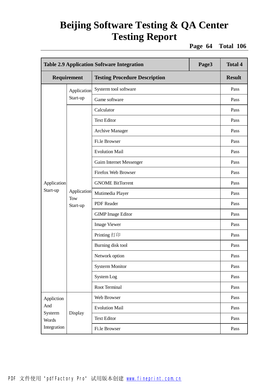**Page 64 Total 106**

|                  | Page3<br><b>Table 2.9 Application Software Integration</b> |                                      |  | <b>Total 4</b> |
|------------------|------------------------------------------------------------|--------------------------------------|--|----------------|
|                  | Requirement                                                | <b>Testing Procedure Description</b> |  | <b>Result</b>  |
| Application      |                                                            | Systerm tool software                |  | Pass           |
|                  | Start-up                                                   | Game software                        |  | Pass           |
|                  |                                                            | Calculator                           |  | Pass           |
|                  |                                                            | <b>Text Editor</b>                   |  | Pass           |
|                  |                                                            | <b>Archive Manager</b>               |  | Pass           |
|                  |                                                            | Fi.le Browser                        |  | Pass           |
|                  |                                                            | <b>Evolution Mail</b>                |  | Pass           |
|                  |                                                            | Gaim Internet Messenger              |  | Pass           |
|                  |                                                            | Firefox Web Browser                  |  | Pass           |
| Application      | Application<br>Tow<br>Start-up                             | <b>GNOME BitTorrent</b>              |  | Pass           |
| Start-up         |                                                            | Mutimedia Player                     |  | Pass           |
|                  |                                                            | <b>PDF</b> Reader                    |  | Pass           |
|                  |                                                            | <b>GIMP</b> Image Editor             |  | Pass           |
|                  |                                                            | <b>Image Viewer</b>                  |  | Pass           |
|                  |                                                            | Printing 打印                          |  | Pass           |
|                  |                                                            | Burning disk tool                    |  | Pass           |
|                  |                                                            | Network option                       |  | Pass           |
|                  |                                                            | <b>Systerm Monitor</b>               |  | Pass           |
|                  |                                                            | System Log                           |  | Pass           |
|                  |                                                            | Root Terminal                        |  | Pass           |
| Appliction       |                                                            | Web Browser                          |  | Pass           |
| And              |                                                            | <b>Evolution Mail</b>                |  | Pass           |
| Systerm<br>Words | Display                                                    | <b>Text Editor</b>                   |  | Pass           |
| Integration      |                                                            | Fi.le Browser                        |  | Pass           |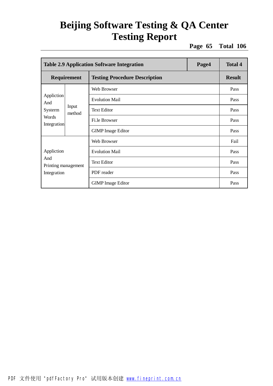**Page 65 Total 106**

|                                           | Page4<br><b>Table 2.9 Application Software Integration</b> |                                      |  |               |  |
|-------------------------------------------|------------------------------------------------------------|--------------------------------------|--|---------------|--|
|                                           | <b>Requirement</b>                                         | <b>Testing Procedure Description</b> |  | <b>Result</b> |  |
|                                           |                                                            | Web Browser                          |  | Pass          |  |
| Appliction<br>And                         |                                                            | <b>Evolution Mail</b>                |  | Pass          |  |
| Systerm                                   | Input<br>method                                            | <b>Text Editor</b>                   |  | Pass          |  |
| Words<br>Integration                      |                                                            | Fi.le Browser                        |  | Pass          |  |
|                                           |                                                            | <b>GIMP</b> Image Editor             |  | Pass          |  |
|                                           |                                                            | Web Browser                          |  | Fail          |  |
| Appliction                                |                                                            | <b>Evolution Mail</b>                |  | Pass          |  |
| And<br>Printing management<br>Integration |                                                            | <b>Text Editor</b>                   |  | Pass          |  |
|                                           |                                                            | PDF reader                           |  | Pass          |  |
|                                           |                                                            | <b>GIMP</b> Image Editor             |  | Pass          |  |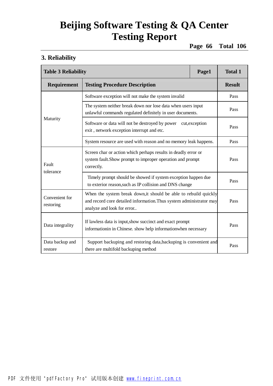**Page 66 Total 106**

#### **3. Reliability**

|                             | <b>Table 3 Reliability</b><br>Page1                                                                                                                                   |  |               |
|-----------------------------|-----------------------------------------------------------------------------------------------------------------------------------------------------------------------|--|---------------|
| Requirement                 | <b>Testing Procedure Description</b>                                                                                                                                  |  | <b>Result</b> |
|                             | Software exception will not make the system invalid                                                                                                                   |  | Pass          |
|                             | The system neither break down nor lose data when users input<br>unlawful commands regulated definitely in user documents.                                             |  | Pass          |
| Maturity                    | Software or data will not be destroyed by power<br>cut, exception<br>exit, network exception interrupt and etc.                                                       |  | Pass          |
|                             | System resource are used with reason and no memory leak happens.                                                                                                      |  | Pass          |
| Fault<br>tolerance          | Screen char or action which perhaps results in deadly error or<br>system fault. Show prompt to improper operation and prompt<br>correctly.                            |  | Pass          |
|                             | Timely prompt should be showed if system exception happen due<br>to exterior reason, such as IP collision and DNS change                                              |  | Pass          |
| Convenient for<br>restoring | When the system break down, it should be able to rebuild quickly<br>and record core detailed information. Thus system administrator may<br>analyze and look for error |  | Pass          |
| Data integrality            | If lawless data is input, show succinct and exact prompt<br>informationin in Chinese. show help informationwhen necessary                                             |  | Pass          |
| Data backup and<br>restore  | Support backuping and restoring data, backuping is convenient and<br>there are multifold backuping method                                                             |  | Pass          |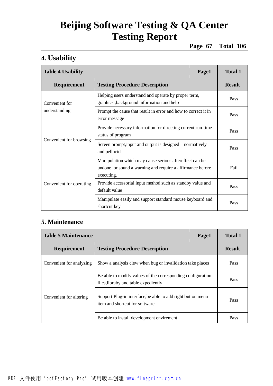**Page 67 Total 106**

#### **4. Usability**

| <b>Table 4 Usability</b>        | Page1                                                                                                                               | <b>Total 1</b> |               |
|---------------------------------|-------------------------------------------------------------------------------------------------------------------------------------|----------------|---------------|
| Requirement                     | <b>Testing Procedure Description</b>                                                                                                |                | <b>Result</b> |
| Convenient for<br>understanding | Helping users understand and operate by proper term,<br>graphics, background information and help                                   |                | Pass          |
|                                 | Prompt the cause that result in error and how to correct it in<br>error message                                                     |                | Pass          |
| Convenient for browsing         | Provide necessary information for directing current run-time<br>status of program                                                   |                | Pass          |
|                                 | Screen prompt, input and output is designed<br>normatively<br>and pellucid                                                          |                | Pass          |
|                                 | Manipulation which may cause serious aftereffect can be<br>undone, or sound a warning and require a affirmance before<br>executing. |                | Fail          |
| Convenient for operating        | Provide accessorial input method such as standby value and<br>default value                                                         |                | Pass          |
|                                 | Manipulate easily and support standard mouse, keyboard and<br>shortcut key                                                          |                | Pass          |

#### **5. Maintenance**

| <b>Table 5 Maintenance</b> | Page1                                                                                               | <b>Total 1</b> |               |
|----------------------------|-----------------------------------------------------------------------------------------------------|----------------|---------------|
| <b>Requirement</b>         | <b>Testing Procedure Description</b>                                                                |                | <b>Result</b> |
| Convenient for analyzing   | Show a analysis clew when bug or invalidation take places                                           | Pass           |               |
|                            | Be able to modify values of the corresponding configuration<br>files, libraby and table expediently |                | Pass          |
| Convenient for altering    | Support Plug-in interface, be able to add right button menu<br>item and shortcut for software       |                | Pass          |
|                            | Be able to install development environment                                                          |                | Pass          |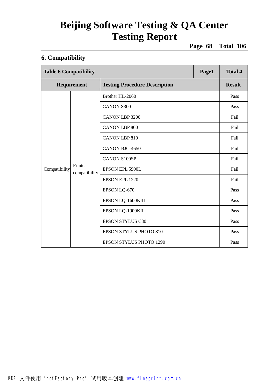**Page 68 Total 106**

#### **6. Compatibility**

| <b>Table 6 Compatibility</b> |                          | Page1                                | <b>Total 4</b> |               |
|------------------------------|--------------------------|--------------------------------------|----------------|---------------|
| Requirement                  |                          | <b>Testing Procedure Description</b> |                | <b>Result</b> |
|                              |                          | Brother HL-2060                      |                | Pass          |
|                              |                          | <b>CANON S300</b>                    |                | Pass          |
|                              |                          | <b>CANON LBP 3200</b>                |                | Fail          |
|                              |                          | <b>CANON LBP 800</b>                 |                | Fail          |
| Compatibility                | Printer<br>compatibility | <b>CANON LBP 810</b>                 |                | Fail          |
|                              |                          | CANON BJC-4650                       |                | Fail          |
|                              |                          | <b>CANON S100SP</b>                  |                | Fail          |
|                              |                          | EPSON EPL 5900L                      |                | Fail          |
|                              |                          | EPSON EPL 1220                       |                | Fail          |
|                              |                          | EPSON LQ-670                         |                | Pass          |
|                              |                          | EPSON LQ-1600KIII                    |                | Pass          |
|                              |                          | EPSON LQ-1900KII                     |                | Pass          |
|                              |                          | <b>EPSON STYLUS C80</b>              |                | Pass          |
|                              |                          | <b>EPSON STYLUS PHOTO 810</b>        |                | Pass          |
|                              |                          | <b>EPSON STYLUS PHOTO 1290</b>       |                | Pass          |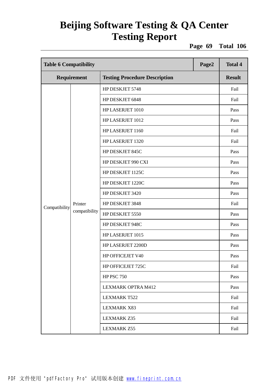**Page 69 Total 106**

| <b>Table 6 Compatibility</b><br>Page2 |                          |                                      | <b>Total 4</b> |               |
|---------------------------------------|--------------------------|--------------------------------------|----------------|---------------|
| Requirement                           |                          | <b>Testing Procedure Description</b> |                | <b>Result</b> |
|                                       |                          | HP DESKJET 5748                      |                | Fail          |
|                                       |                          | HP DESKJET 6848                      |                | Fail          |
|                                       |                          | HP LASERJET 1010                     |                | Pass          |
|                                       |                          | HP LASERJET 1012                     |                | Pass          |
|                                       |                          | HP LASERJET 1160                     |                | Fail          |
|                                       |                          | HP LASERJET 1320                     |                | Fail          |
|                                       |                          | HP DESKJET 845C                      |                | Pass          |
|                                       |                          | HP DESKJET 990 CXI                   |                | Pass          |
|                                       | Printer<br>compatibility | HP DESKJET 1125C                     |                | Pass          |
|                                       |                          | HP DESKJET 1220C                     |                | Pass          |
|                                       |                          | HP DESKJET 3420                      |                | Pass          |
| Compatibility                         |                          | HP DESKJET 3848                      |                | Fail          |
|                                       |                          | HP DESKJET 5550                      |                | Pass          |
|                                       |                          | HP DESKJET 948C                      |                | Pass          |
|                                       |                          | HP LASERJET 1015                     |                | Pass          |
|                                       |                          | HP LASERJET 2200D                    |                | Pass          |
|                                       |                          | HP OFFICEJET V40                     |                | Pass          |
|                                       |                          | HP OFFICEJET 725C                    |                | Fail          |
|                                       |                          | <b>HP PSC 750</b>                    |                | Pass          |
|                                       |                          | LEXMARK OPTRA M412                   |                | Pass          |
|                                       |                          | <b>LEXMARK T522</b>                  |                | Fail          |
|                                       |                          | <b>LEXMARK X83</b>                   |                | Fail          |
|                                       |                          | <b>LEXMARK Z35</b>                   |                | Fail          |
|                                       |                          | LEXMARK Z55                          |                | Fail          |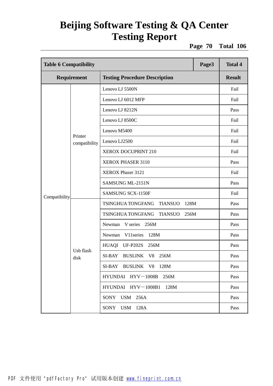**Page 70 Total 106**

| Page3<br><b>Table 6 Compatibility</b>                      |                          |                                                    | <b>Total 4</b> |      |
|------------------------------------------------------------|--------------------------|----------------------------------------------------|----------------|------|
| <b>Requirement</b><br><b>Testing Procedure Description</b> |                          |                                                    | <b>Result</b>  |      |
|                                                            | Printer<br>compatibility | Lenovo LJ 5500N                                    |                | Fail |
|                                                            |                          | Lenovo LJ 6012 MFP                                 |                | Fail |
|                                                            |                          | Lenovo LJ 8212N                                    |                | Pass |
|                                                            |                          | Lenovo LJ 8500C                                    |                | Fail |
|                                                            |                          | Lenovo M5400                                       |                | Fail |
|                                                            |                          | Lenovo LJ2500                                      |                | Fail |
|                                                            |                          | XEROX DOCUPRINT 210                                |                | Fail |
|                                                            |                          | XEROX PHASER 3110                                  |                | Pass |
|                                                            |                          | XEROX Phaser 3121                                  |                | Fail |
|                                                            |                          | SAMSUNG ML-2151N                                   |                | Pass |
| Compatibility                                              |                          | <b>SAMSUNG SCX-1150F</b>                           |                | Fail |
|                                                            | Usb flash<br>disk        | TSINGHUA TONGFANG<br><b>TIANSUO</b><br>128M        |                | Pass |
|                                                            |                          | TSINGHUA TONGFANG<br><b>TIANSUO</b><br>256M        |                | Pass |
|                                                            |                          | V series<br>256M<br>Newman                         |                | Pass |
|                                                            |                          | V11 series<br>128M<br>Newman                       |                | Pass |
|                                                            |                          | HUAQI<br><b>UF-P202S</b><br>256M                   |                | Pass |
|                                                            |                          | SI-BAY<br><b>BUSLINK</b><br>V <sub>8</sub><br>256M |                | Pass |
|                                                            |                          | SI-BAY BUSLINK V8 128M                             |                | Pass |
|                                                            |                          | HYUNDAI HYV-1008B<br>256M                          |                | Pass |
|                                                            |                          | HYUNDAI HYV-1008B1<br>128M                         |                | Pass |
|                                                            |                          | <b>USM</b><br><b>SONY</b><br>256A                  |                | Pass |
|                                                            |                          | SONY<br><b>USM</b> 128A                            |                | Pass |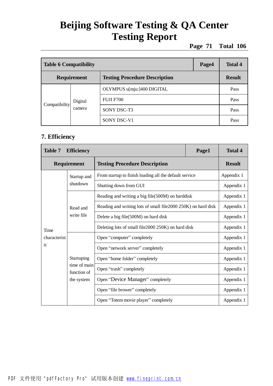**Page 71 Total 106**

| <b>Table 6 Compatibility</b>                               |                   | Page4                      | <b>Total 4</b> |      |
|------------------------------------------------------------|-------------------|----------------------------|----------------|------|
| <b>Requirement</b><br><b>Testing Procedure Description</b> |                   |                            | <b>Result</b>  |      |
| Compatibility                                              | Digital<br>camera | OLYMPUS u[mju:]400 DIGITAL |                | Pass |
|                                                            |                   | <b>FUJI F700</b>           |                | Pass |
|                                                            |                   | SONY DSC-T3                |                | Pass |
|                                                            |                   | SONY DSC-V1                |                | Pass |

#### **7. Efficiency**

| <b>Table 7</b> | <b>Efficiency</b>                                       |                                                                | Page1 | <b>Total 4</b> |
|----------------|---------------------------------------------------------|----------------------------------------------------------------|-------|----------------|
| Requirement    |                                                         | <b>Testing Procedure Description</b>                           |       | <b>Result</b>  |
|                | Startup and                                             | From startup to finish loading all the default service         |       | Appendix 1     |
|                | shutdown                                                | Shutting down from GUI                                         |       | Appendix 1     |
| Time           |                                                         | Reading and writing a big file(500M) on harddisk               |       | Appendix 1     |
|                | Read and<br>write file                                  | Reading and writing lots of small file 2000 250K) on hard disk |       | Appendix 1     |
|                |                                                         | Delete a big file(500M) on hard disk                           |       | Appendix 1     |
|                |                                                         | Deleting lots of small file2000 250K) on hard disk             |       | Appendix 1     |
| characterist   | Startuping<br>time of main<br>function of<br>the system | Open "computer" completely                                     |       | Appendix 1     |
| ic             |                                                         | Open "network server" completely                               |       | Appendix 1     |
|                |                                                         | Open "home folder" completely                                  |       | Appendix 1     |
|                |                                                         | Open "trash" completely                                        |       | Appendix 1     |
|                |                                                         | Open "Device Manager" completely                               |       | Appendix 1     |
|                |                                                         | Open "file brower" completely                                  |       | Appendix 1     |
|                |                                                         | Open "Totem movie player" completely                           |       | Appendix 1     |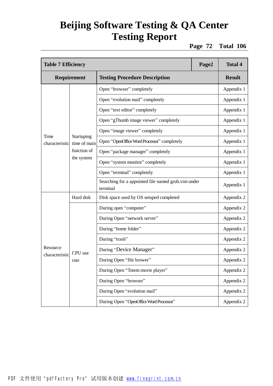**Page 72 Total 106**

| <b>Table 7 Efficiency</b>  |                                                         |                                                                 | Page2 | <b>Total 4</b> |
|----------------------------|---------------------------------------------------------|-----------------------------------------------------------------|-------|----------------|
| Requirement                |                                                         | <b>Testing Procedure Description</b>                            |       | <b>Result</b>  |
| Time<br>characteristic     | Startuping<br>time of main<br>function of<br>the system | Open "browser" completely                                       |       | Appendix 1     |
|                            |                                                         | Open "evolution mail" completely                                |       | Appendix 1     |
|                            |                                                         | Open "text editor" completely                                   |       | Appendix 1     |
|                            |                                                         | Open "gThumb image viewer" completely                           |       | Appendix 1     |
|                            |                                                         | Open "image viewer" completely                                  |       | Appendix 1     |
|                            |                                                         | Open "OpenOffice Word Processor" completely                     |       | Appendix 1     |
|                            |                                                         | Open "package manager" completely                               |       | Appendix 1     |
|                            |                                                         | Open "system monitor" completely                                |       | Appendix 1     |
|                            |                                                         | Open "terminal" completely                                      |       | Appendix 1     |
|                            |                                                         | Searching for a appointed file named grub.vim under<br>terminal |       | Appendix 1     |
|                            | Hard disk                                               | Disk space used by OS setuped completed                         |       | Appendix 2     |
|                            | CPU use<br>rate                                         | During open "computer"                                          |       | Appendix 2     |
|                            |                                                         | During Open "network server"                                    |       | Appendix 2     |
|                            |                                                         | During "home folder"                                            |       | Appendix 2     |
|                            |                                                         | During "trash"                                                  |       | Appendix 2     |
| Resource<br>characteristic |                                                         | During "Device Manager"                                         |       | Appendix 2     |
|                            |                                                         | During Open "file brower"                                       |       | Appendix 2     |
|                            |                                                         | During Open "Totem movie player"                                |       | Appendix 2     |
|                            |                                                         | During Open "browser"                                           |       | Appendix 2     |
|                            |                                                         | During Open "evolution mail"                                    |       | Appendix 2     |
|                            |                                                         | During Open "OpenOffice Word Processor"                         |       | Appendix 2     |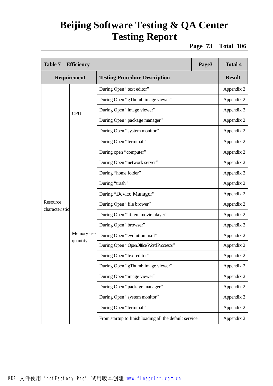**Page 73 Total 106**

| <b>Table 7</b><br><b>Efficiency</b> |                        |                                                        | Page3 | <b>Total 4</b> |
|-------------------------------------|------------------------|--------------------------------------------------------|-------|----------------|
| Requirement                         |                        | <b>Testing Procedure Description</b>                   |       | <b>Result</b>  |
|                                     | <b>CPU</b>             | During Open "text editor"                              |       | Appendix 2     |
|                                     |                        | During Open "gThumb image viewer"                      |       | Appendix 2     |
|                                     |                        | During Open "image viewer"                             |       | Appendix 2     |
|                                     |                        | During Open "package manager"                          |       | Appendix 2     |
|                                     |                        | During Open "system monitor"                           |       | Appendix 2     |
|                                     |                        | During Open "terminal"                                 |       | Appendix 2     |
|                                     |                        | During open "computer"                                 |       | Appendix 2     |
|                                     |                        | During Open "network server"                           |       | Appendix 2     |
|                                     | Memory use<br>quantity | During "home folder"                                   |       | Appendix 2     |
|                                     |                        | During "trash"                                         |       | Appendix 2     |
|                                     |                        | During "Device Manager"                                |       | Appendix 2     |
| Resource                            |                        | During Open "file brower"                              |       | Appendix 2     |
| characteristic                      |                        | During Open "Totem movie player"                       |       | Appendix 2     |
|                                     |                        | During Open "browser"                                  |       | Appendix 2     |
|                                     |                        | During Open "evolution mail"                           |       | Appendix 2     |
|                                     |                        | During Open "OpenOffice Word Processor"                |       | Appendix 2     |
|                                     |                        | During Open "text editor"                              |       | Appendix 2     |
|                                     |                        | During Open "gThumb image viewer"                      |       | Appendix 2     |
|                                     |                        | During Open "image viewer"                             |       | Appendix 2     |
|                                     |                        | During Open "package manager"                          |       | Appendix 2     |
|                                     |                        | During Open "system monitor"                           |       | Appendix 2     |
|                                     |                        | During Open "terminal"                                 |       | Appendix 2     |
|                                     |                        | From startup to finish loading all the default service |       | Appendix 2     |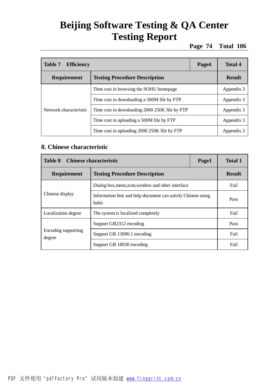**Page 74 Total 106**

| <b>Table 7</b><br><b>Efficiency</b> |                                                | Page4         | Total 4    |
|-------------------------------------|------------------------------------------------|---------------|------------|
| <b>Requirement</b>                  | <b>Testing Procedure Description</b>           | <b>Result</b> |            |
|                                     | Time cost in browsing the SOHU homepage        |               | Appendix 3 |
| Network characteristic              | Time cost in downloading a 500M file by FTP    |               | Appendix 3 |
|                                     | Time cost in downloading 2000 250K file by FTP |               | Appendix 3 |
|                                     | Time cost in uploading a 500M file by FTP      |               | Appendix 3 |
|                                     | Time cost in uploading 2000 250K file by FTP   |               | Appendix 3 |

### **8. Chinese characteristic**

| <b>Table 8</b><br><b>Chinese characteristic</b>     |                                                                       |      | <b>Total 1</b> |
|-----------------------------------------------------|-----------------------------------------------------------------------|------|----------------|
| <b>Testing Procedure Description</b><br>Requirement |                                                                       |      | <b>Result</b>  |
|                                                     | Dialog box, menu, icon, window and other interface                    |      | Fail           |
| Chinese display                                     | Information hint and help document can satisfy Chinese using<br>habit |      | Pass           |
| Localization degree                                 | The system is localized completely                                    | Fail |                |
|                                                     | Support GB2312 encoding                                               |      | Pass           |
| Encoding supporting<br>degree                       | Support GB 13000.1 encoding                                           |      | Fail           |
|                                                     | Support GB 18030 encoding                                             |      | Fail           |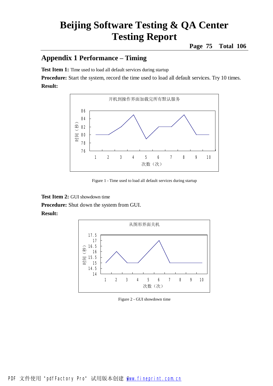### **Appendix 1 Performance – Timing**

**Test Item 1:** Time used to load all default services during startup

**Procedure:** Start the system, record the time used to load all default services. Try 10 times. **Result:** 



Figure 1 - Time used to load all default services during startup

**Test Item 2:** GUI showdown time **Procedure:** Shut down the system from GUI. **Result:** 



Figure 2 - GUI showdown time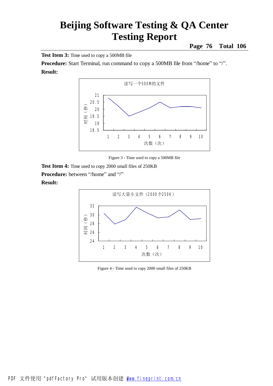**Page 76 Total 106**

**Test Item 3:** Time used to copy a 500MB file

**Procedure:** Start Terminal, run command to copy a 500MB file from "/home" to "/". **Result:** 



Figure 3 - Time used to copy a 500MB file

**Test Item 4:** Time used to copy 2000 small files of 250KB **Procedure:** between "/home" and "/" **Result:** 



Figure 4 - Time used to copy 2000 small files of 250KB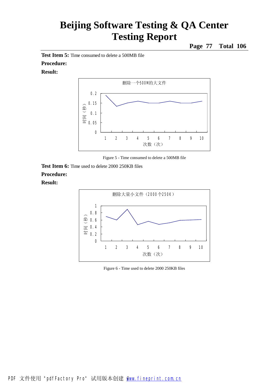**Page 77 Total 106**

**Test Item 5:** Time consumed to delete a 500MB file

#### **Procedure:**

#### **Result:**



Figure 5 - Time consumed to delete a 500MB file

**Test Item 6:** Time used to delete 2000 250KB files **Procedure:** 



Figure 6 - Time used to delete 2000 250KB files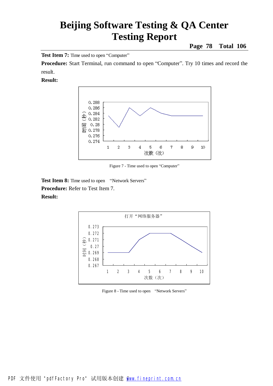**Page 78 Total 106**

**Test Item 7:** Time used to open "Computer"

**Procedure:** Start Terminal, run command to open "Computer". Try 10 times and record the result.

#### **Result:**



Figure 7 - Time used to open "Computer"

Test Item 8: Time used to open "Network Servers" **Procedure:** Refer to Test Item 7. **Result:** 



Figure 8 - Time used to open "Network Servers"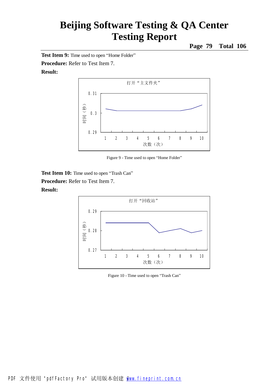**Page 79 Total 106**

**Test Item 9:** Time used to open "Home Folder"

**Procedure:** Refer to Test Item 7.

#### **Result:**



Figure 9 - Time used to open "Home Folder"

**Test Item 10:** Time used to open "Trash Can"

**Procedure:** Refer to Test Item 7.



Figure 10 - Time used to open "Trash Can"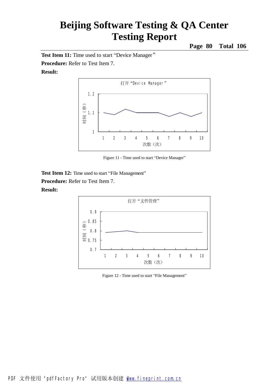**Page 80 Total 106**

**Test Item 11:** Time used to start "Device Manager" **Procedure:** Refer to Test Item 7.

#### **Result:**



Figure 11 - Time used to start "Device Manager"

**Test Item 12:** Time used to start "File Management"

**Procedure:** Refer to Test Item 7.



Figure 12 - Time used to start "File Management"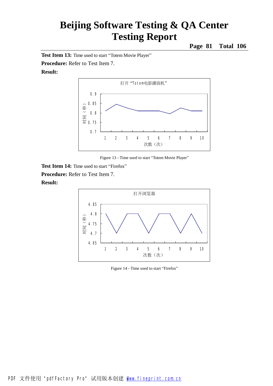**Page 81 Total 106**

**Test Item 13:** Time used to start "Totem Movie Player"

**Procedure:** Refer to Test Item 7.

#### **Result:**



Figure 13 - Time used to start "Totem Movie Player"

**Test Item 14:** Time used to start "Firefox"

**Procedure:** Refer to Test Item 7. **Result:** 

### 打开浏览器 4.65 4.7 4.75 4.8 4.85 1 2 3 4 5 6 7 8 9 10 次数(次) 时间(秒)

Figure 14 - Time used to start "Firefox"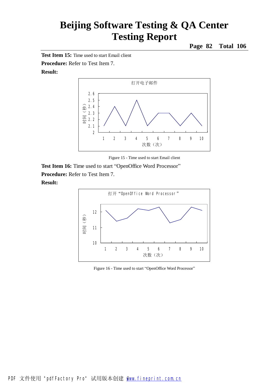**Page 82 Total 106**

**Test Item 15:** Time used to start Email client

**Procedure:** Refer to Test Item 7.

#### **Result:**



Figure 15 - Time used to start Email client

**Test Item 16:** Time used to start "OpenOffice Word Processor" **Procedure:** Refer to Test Item 7. **Result:** 



Figure 16 - Time used to start "OpenOffice Word Processor"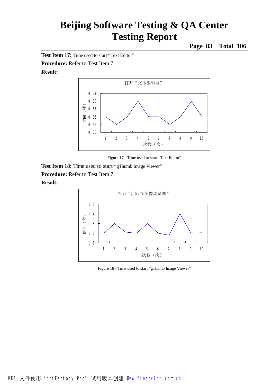**Page 83 Total 106**

**Test Item 17:** Time used to start "Text Editor"

**Procedure:** Refer to Test Item 7.

#### **Result:**



Figure 17 - Time used to start "Text Editor"

**Test Item 18:** Time used to start "gThumb Image Viewer" **Procedure:** Refer to Test Item 7. **Result:** 



Figure 18 - Time used to start "gThumb Image Viewer"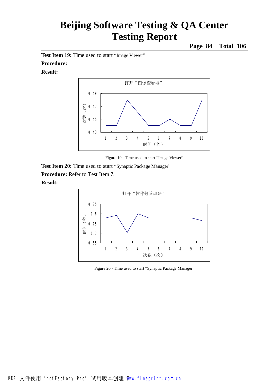**Page 84 Total 106**

**Test Item 19:** Time used to start "Image Viewer"

### **Procedure:**

#### **Result:**



Figure 19 - Time used to start "Image Viewer"

**Test Item 20:** Time used to start "Synaptic Package Manager" **Procedure:** Refer to Test Item 7. **Result:** 



Figure 20 - Time used to start "Synaptic Package Manager"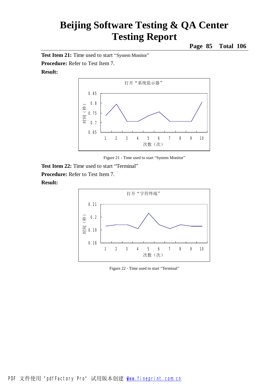**Page 85 Total 106**

**Test Item 21:** Time used to start "System Monitor"

**Procedure:** Refer to Test Item 7.

#### **Result:**



Figure 21 - Time used to start "System Monitor"

**Test Item 22:** Time used to start "Terminal" **Procedure:** Refer to Test Item 7. **Result:** 



Figure 22 - Time used to start "Terminal"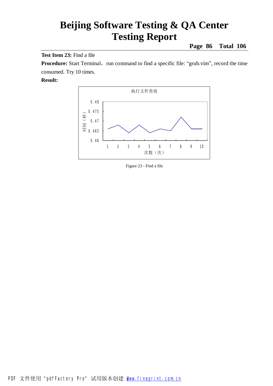**Page 86 Total 106**

**Test Item 23:** Find a file

**Procedure:** Start Terminal, run command to find a specific file: "grub.vim", record the time consumed. Try 10 times.



Figure 23 - Find a file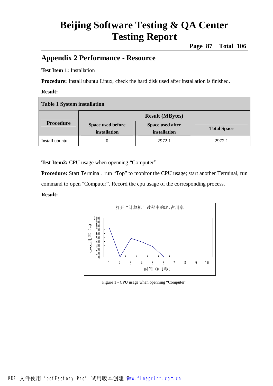### **Appendix 2 Performance - Resource**

#### **Test Item 1:** Installation

**Procedure:** Install ubuntu Linux, check the hard disk used after installation is finished.

#### **Result:**

| Table 1 System installation |                                   |                                  |                    |  |
|-----------------------------|-----------------------------------|----------------------------------|--------------------|--|
| <b>Procedure</b>            | <b>Result (MBytes)</b>            |                                  |                    |  |
|                             | Space used before<br>installation | Space used after<br>installation | <b>Total Space</b> |  |
| Install ubuntu              | 0                                 | 2972.1                           | 2972.1             |  |

Test Item2: CPU usage when openning "Computer"

**Procedure:** Start Terminal, run "Top" to monitor the CPU usage; start another Terminal, run command to open "Computer". Record the cpu usage of the corresponding process.



Figure 1 - CPU usage when openning "Computer"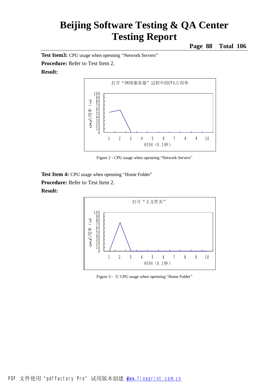**Page 88 Total 106**

Test Item3: CPU usage when openning "Network Servers"

**Procedure:** Refer to Test Item 2. **Result:** 



Figure 2 - CPU usage when openning "Network Servers"

**Test Item 4:** CPU usage when openning "Home Folder" **Procedure:** Refer to Test Item 2. **Result:** 



Figure 3 - 打 CPU usage when openning "Home Folder"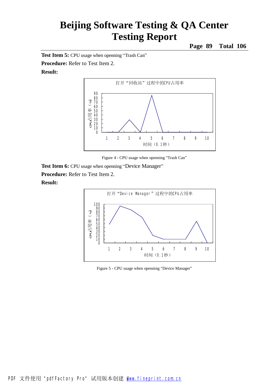**Page 89 Total 106**

**Test Item 5:** CPU usage when openning "Trash Can"

**Procedure:** Refer to Test Item 2.

#### **Result:**



Figure 4 - CPU usage when openning "Trash Can"

**Test Item 6:** CPU usage when openning "Device Manager"

**Procedure:** Refer to Test Item 2.



Figure 5 - CPU usage when openning "Device Manager"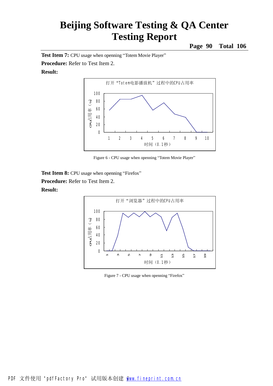**Page 90 Total 106**

**Test Item 7:** CPU usage when openning "Totem Movie Player"

**Procedure:** Refer to Test Item 2.

#### **Result:**



Figure 6 - CPU usage when openning "Totem Movie Player"

**Test Item 8:** CPU usage when openning "Firefox"

**Procedure:** Refer to Test Item 2.



Figure 7 - CPU usage when openning "Firefox"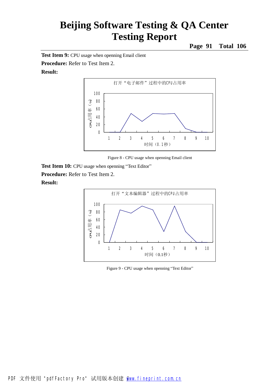**Page 91 Total 106**

**Test Item 9:** CPU usage when openning Email client

**Procedure:** Refer to Test Item 2.

### **Result:**



Figure 8 - CPU usage when openning Email client

**Test Item 10:** CPU usage when openning "Text Editor"

**Procedure:** Refer to Test Item 2.



Figure 9 - CPU usage when openning "Text Editor"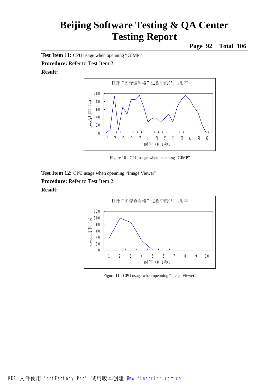**Page 92 Total 106**

**Test Item 11:** CPU usage when openning "GIMP"

**Procedure:** Refer to Test Item 2.

### **Result:**



Figure 10 - CPU usage when openning "GIMP"

**Test Item 12:** CPU usage when openning "Image Viewer"

**Procedure:** Refer to Test Item 2.



Figure 11 - CPU usage when openning "Image Viewer"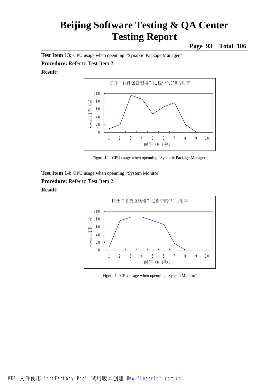**Page 93 Total 106**

Test Item 13: CPU usage when openning "Synaptic Package Manager"

**Procedure:** Refer to Test Item 2.

#### **Result:**



Figure 12 - CPU usage when openning "Synaptic Package Manager"

**Test Item 14:** CPU usage when openning "System Monitor" **Procedure:** Refer to Test Item 2.



Figure 1 - CPU usage when openning "System Monitor"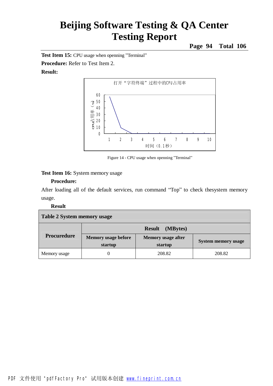**Page 94 Total 106**

**Test Item 15:** CPU usage when openning "Terminal"

**Procedure:** Refer to Test Item 2.

#### **Result:**



Figure 14 - CPU usage when openning "Terminal"

#### **Test Item 16:** System memory usage

#### **Procedure:**

After loading all of the default services, run command "Top" to check thesystem memory usage.

| Table 2 System memory usage |                                       |                                      |                            |  |
|-----------------------------|---------------------------------------|--------------------------------------|----------------------------|--|
|                             | (MBytes)<br><b>Result</b>             |                                      |                            |  |
| Procuredure                 | <b>Memory usage before</b><br>startup | <b>Memory</b> usage after<br>startup | <b>System memory usage</b> |  |
| Memory usage                |                                       | 208.82                               | 208.82                     |  |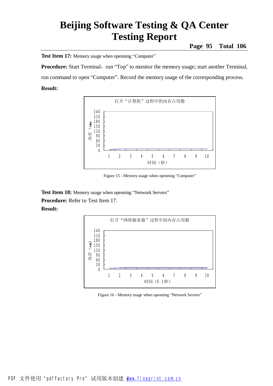**Page 95 Total 106**

**Test Item 17:** Memory usage when openning "Computer"

**Procedure:** Start Terminal, run "Top" to monitor the memory usage; start another Terminal, run command to open "Computer". Record the memory usage of the corresponding process. **Result:** 



Figure 15 - Memory usage when openning "Computer"

Test Item 18: Memory usage when openning "Network Servers"

**Procedure:** Refer to Test Item 17.



Figure 16 - Memory usage when openning "Network Servers"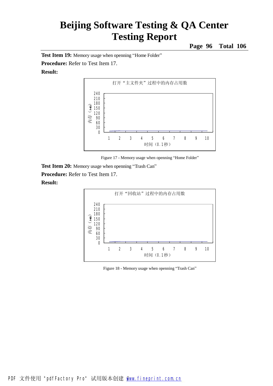**Page 96 Total 106**

**Test Item 19:** Memory usage when openning "Home Folder"

**Procedure:** Refer to Test Item 17.

#### **Result:**



Figure 17 - Memory usage when openning "Home Folder"

**Test Item 20:** Memory usage when openning "Trash Can"

**Procedure:** Refer to Test Item 17.



Figure 18 - Memory usage when openning "Trash Can"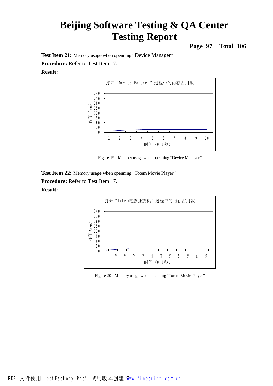**Page 97 Total 106**

**Test Item 21:** Memory usage when openning "Device Manager"

**Procedure:** Refer to Test Item 17.

#### **Result:**



Figure 19 - Memory usage when openning "Device Manager"

**Test Item 22:** Memory usage when openning "Totem Movie Player" **Procedure:** Refer to Test Item 17.



Figure 20 - Memory usage when openning "Totem Movie Player"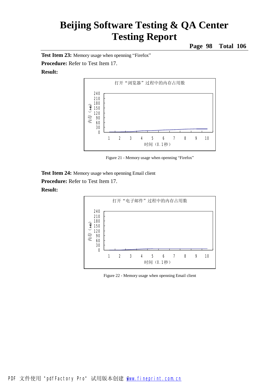**Page 98 Total 106**

**Test Item 23:** Memory usage when openning "Firefox"

**Procedure:** Refer to Test Item 17.

#### **Result:**



Figure 21 - Memory usage when openning "Firefox"

**Test Item 24:** Memory usage when openning Email client

**Procedure:** Refer to Test Item 17.



Figure 22 - Memory usage when openning Email client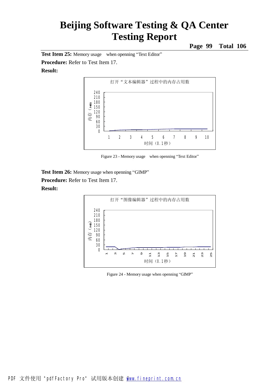**Page 99 Total 106**

**Test Item 25:** Memory usage when openning "Text Editor" **Procedure:** Refer to Test Item 17.

#### **Result:**



Figure 23 - Memory usage when openning "Text Editor"

**Test Item 26:** Memory usage when openning "GIMP"

**Procedure:** Refer to Test Item 17.



Figure 24 - Memory usage when openning "GIMP"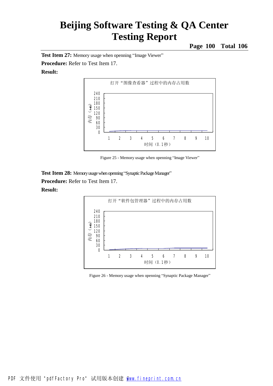**Page 100 Total 106**

**Test Item 27:** Memory usage when openning "Image Viewer"

**Procedure:** Refer to Test Item 17.

#### **Result:**



Figure 25 - Memory usage when openning "Image Viewer"

**Test Item 28: Memory usage when openning "Synaptic Package Manager"** 

**Procedure:** Refer to Test Item 17.



Figure 26 - Memory usage when openning "Synaptic Package Manager"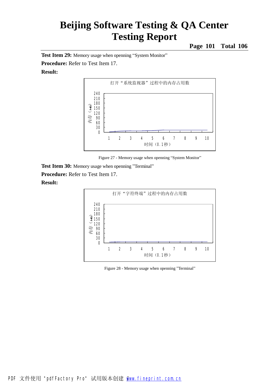**Page 101 Total 106**

**Test Item 29:** Memory usage when openning "System Monitor"

**Procedure:** Refer to Test Item 17.

#### **Result:**



Figure 27 - Memory usage when openning "System Monitor"

**Test Item 30:** Memory usage when openning "Terminal"

**Procedure:** Refer to Test Item 17.



Figure 28 - Memory usage when openning "Terminal"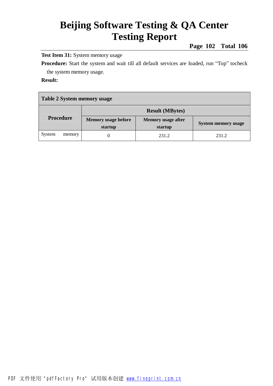**Page 102 Total 106**

**Test Item 31:** System memory usage

Procedure: Start the system and wait till all default services are loaded, run "Top" tocheck the system memory usage.

| Table 2 System memory usage |                                       |                                      |                            |  |  |
|-----------------------------|---------------------------------------|--------------------------------------|----------------------------|--|--|
|                             | <b>Result (MBytes)</b>                |                                      |                            |  |  |
| <b>Procedure</b>            | <b>Memory usage before</b><br>startup | <b>Memory</b> usage after<br>startup | <b>System memory usage</b> |  |  |
| System<br>memory            |                                       | 231.2                                | 231.2                      |  |  |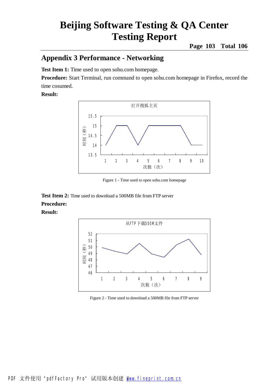### **Appendix 3 Performance - Networking**

**Test Item 1:** Time used to open sohu.com homepage.

**Procedure:** Start Terminal, run command to open sohu.com homepage in Firefox, record the time cosumed.

#### **Result:**



Figure 1 - Time used to open sohu.com homepage

**Test Item 2:** Time used to download a 500MB file from FTP server **Procedure:** 



Figure 2 - Time used to download a 500MB file from FTP server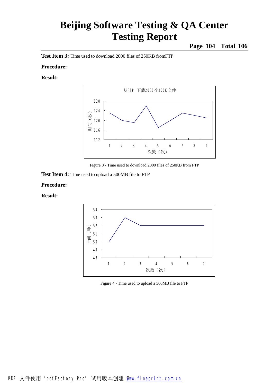**Page 104 Total 106**

**Test Item 3:** Time used to download 2000 files of 250KB fromFTP

#### **Procedure:**

#### **Result:**



Figure 3 - Time used to download 2000 files of 250KB from FTP

**Test Item 4:** Time used to upload a 500MB file to FTP

#### **Procedure:**



Figure 4 - Time used to upload a 500MB file to FTP